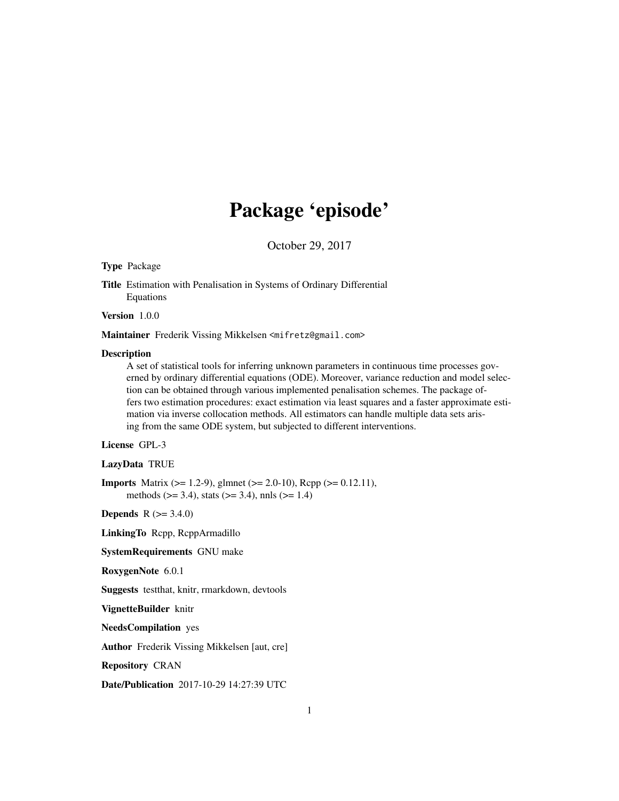# Package 'episode'

October 29, 2017

# <span id="page-0-0"></span>Type Package

Title Estimation with Penalisation in Systems of Ordinary Differential Equations

Version 1.0.0

Maintainer Frederik Vissing Mikkelsen <mifretz@gmail.com>

## Description

A set of statistical tools for inferring unknown parameters in continuous time processes governed by ordinary differential equations (ODE). Moreover, variance reduction and model selection can be obtained through various implemented penalisation schemes. The package offers two estimation procedures: exact estimation via least squares and a faster approximate estimation via inverse collocation methods. All estimators can handle multiple data sets arising from the same ODE system, but subjected to different interventions.

# License GPL-3

#### LazyData TRUE

**Imports** Matrix ( $> = 1.2-9$ ), glmnet ( $> = 2.0-10$ ), Rcpp ( $> = 0.12.11$ ), methods ( $>= 3.4$ ), stats ( $>= 3.4$ ), nnls ( $>= 1.4$ )

**Depends**  $R (= 3.4.0)$ 

LinkingTo Rcpp, RcppArmadillo

SystemRequirements GNU make

RoxygenNote 6.0.1

Suggests testthat, knitr, rmarkdown, devtools

VignetteBuilder knitr

NeedsCompilation yes

Author Frederik Vissing Mikkelsen [aut, cre]

Repository CRAN

Date/Publication 2017-10-29 14:27:39 UTC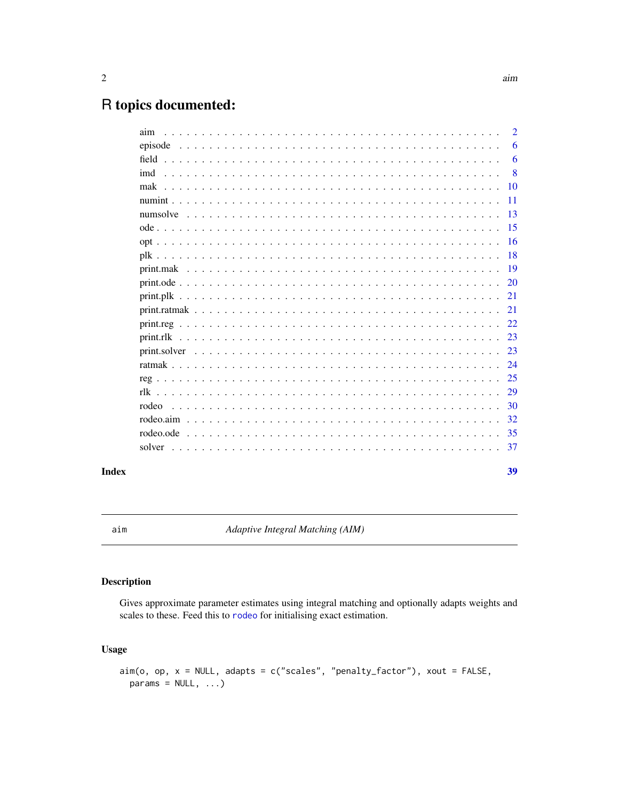39

# <span id="page-1-0"></span>R topics documented:

| aim       |  | $\overline{2}$ |
|-----------|--|----------------|
|           |  | 6              |
| field     |  | 6              |
| imd       |  | 8              |
| mak       |  | <b>10</b>      |
|           |  | 11             |
|           |  | 13             |
|           |  | -15            |
|           |  | 16             |
|           |  | -18            |
|           |  | 19             |
|           |  | 20             |
|           |  | 21             |
|           |  | 21             |
|           |  | 22             |
|           |  | 23             |
|           |  | 23             |
|           |  | 24             |
|           |  | 25             |
|           |  | 29             |
| rodeo     |  | 30             |
|           |  | 32             |
| rodeo.ode |  | 35             |
| solver    |  | 37             |
|           |  |                |

# **Index**

<span id="page-1-1"></span> $\mathop{\mathrm{aim}}\nolimits$ 

Adaptive Integral Matching (AIM)

# **Description**

Gives approximate parameter estimates using integral matching and optionally adapts weights and scales to these. Feed this to rodeo for initialising exact estimation.

# **Usage**

```
\text{aim}(o, op, x = \text{NULL}, \text{adapts} = c("scales", "penalty_factor"), xout = FALSE,params = NULL, ...)
```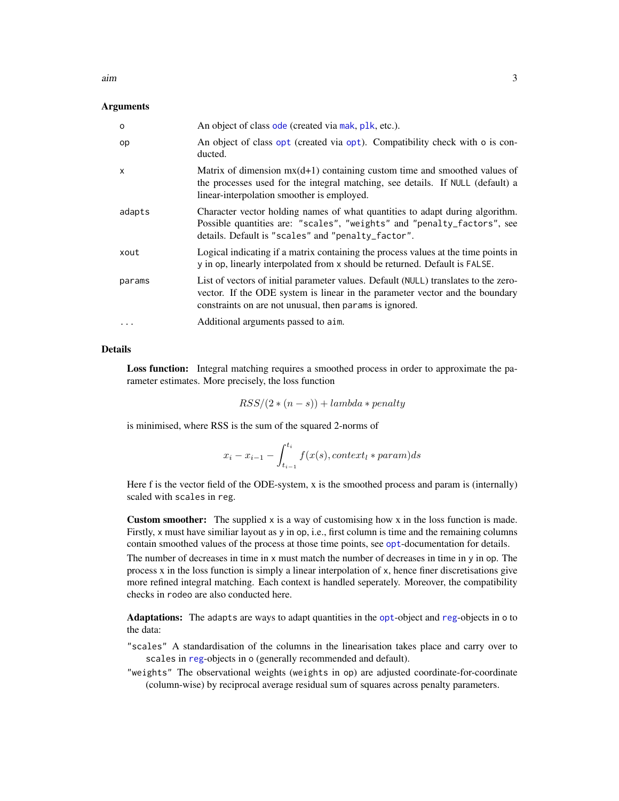<span id="page-2-0"></span>aim 3

# **Arguments**

| $\circ$      | An object of class ode (created via mak, plk, etc.).                                                                                                                                                                           |
|--------------|--------------------------------------------------------------------------------------------------------------------------------------------------------------------------------------------------------------------------------|
| op           | An object of class opt (created via opt). Compatibility check with o is con-<br>ducted.                                                                                                                                        |
| $\mathsf{x}$ | Matrix of dimension $mx(d+1)$ containing custom time and smoothed values of<br>the processes used for the integral matching, see details. If NULL (default) a<br>linear-interpolation smoother is employed.                    |
| adapts       | Character vector holding names of what quantities to adapt during algorithm.<br>Possible quantities are: "scales", "weights" and "penalty_factors", see<br>details. Default is "scales" and "penalty_factor".                  |
| xout         | Logical indicating if a matrix containing the process values at the time points in<br>y in op, linearly interpolated from x should be returned. Default is FALSE.                                                              |
| params       | List of vectors of initial parameter values. Default (NULL) translates to the zero-<br>vector. If the ODE system is linear in the parameter vector and the boundary<br>constraints on are not unusual, then params is ignored. |
| $\ddotsc$    | Additional arguments passed to aim.                                                                                                                                                                                            |

# Details

Loss function: Integral matching requires a smoothed process in order to approximate the parameter estimates. More precisely, the loss function

$$
RSS/(2*(n-s)) + lambda * penalty
$$

is minimised, where RSS is the sum of the squared 2-norms of

$$
x_i - x_{i-1} - \int_{t_{i-1}}^{t_i} f(x(s), context_l * param) ds
$$

Here f is the vector field of the ODE-system, x is the smoothed process and param is (internally) scaled with scales in reg.

Custom smoother: The supplied x is a way of customising how x in the loss function is made. Firstly, x must have similiar layout as y in op, i.e., first column is time and the remaining columns contain smoothed values of the process at those time points, see [opt](#page-15-1)-documentation for details.

The number of decreases in time in  $x$  must match the number of decreases in time in  $y$  in op. The process x in the loss function is simply a linear interpolation of x, hence finer discretisations give more refined integral matching. Each context is handled seperately. Moreover, the compatibility checks in rodeo are also conducted here.

Adaptations: The adapts are ways to adapt quantities in the [opt](#page-15-1)-object and [reg](#page-24-1)-objects in o to the data:

- "scales" A standardisation of the columns in the linearisation takes place and carry over to scales in [reg](#page-24-1)-objects in o (generally recommended and default).
- "weights" The observational weights (weights in op) are adjusted coordinate-for-coordinate (column-wise) by reciprocal average residual sum of squares across penalty parameters.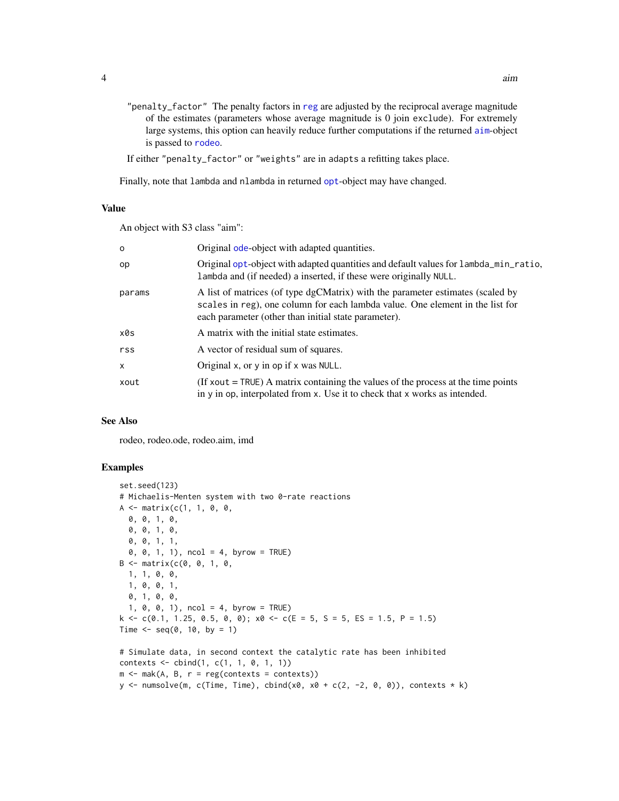<span id="page-3-0"></span>"penalty\_factor" The penalty factors in [reg](#page-24-1) are adjusted by the reciprocal average magnitude of the estimates (parameters whose average magnitude is 0 join exclude). For extremely large systems, this option can heavily reduce further computations if the returned [aim](#page-1-1)-object is passed to [rodeo](#page-29-1).

If either "penalty\_factor" or "weights" are in adapts a refitting takes place.

Finally, note that lambda and nlambda in returned [opt](#page-15-1)-object may have changed.

#### Value

An object with S3 class "aim":

| $\Omega$ | Original ode-object with adapted quantities.                                                                                                                                                                            |
|----------|-------------------------------------------------------------------------------------------------------------------------------------------------------------------------------------------------------------------------|
| op       | Original opt-object with adapted quantities and default values for lambda_min_ratio,<br>lambda and (if needed) a inserted, if these were originally NULL.                                                               |
| params   | A list of matrices (of type dgCMatrix) with the parameter estimates (scaled by<br>scales in reg), one column for each lambda value. One element in the list for<br>each parameter (other than initial state parameter). |
| x0s      | A matrix with the initial state estimates.                                                                                                                                                                              |
| rss      | A vector of residual sum of squares.                                                                                                                                                                                    |
| X        | Original x, or $y$ in op if x was NULL.                                                                                                                                                                                 |
| xout     | (If $xout = TRUE$ ) A matrix containing the values of the process at the time points<br>in y in op, interpolated from x. Use it to check that x works as intended.                                                      |

# See Also

rodeo, rodeo.ode, rodeo.aim, imd

```
set.seed(123)
# Michaelis-Menten system with two 0-rate reactions
A \leq - matrix(c(1, 1, 0, 0,
 0, 0, 1, 0,
  0, 0, 1, 0,
  0, 0, 1, 1,
  0, 0, 1, 1), ncol = 4, byrow = TRUE)
B \le - matrix(c(0, 0, 1, 0, 1)1, 1, 0, 0,
  1, 0, 0, 1,
  0, 1, 0, 0,
  1, 0, 0, 1), ncol = 4, byrow = TRUE)
k \leq c(0.1, 1.25, 0.5, 0, 0); x0 \leq c(E = 5, S = 5, ES = 1.5, P = 1.5)Time \leq seq(0, 10, by = 1)
# Simulate data, in second context the catalytic rate has been inhibited
contexts \leq \text{cbind}(1, c(1, 1, 0, 1, 1))m \le -mak(A, B, r = reg(contexts = contexts))y \le numsolve(m, c(Time, Time), cbind(x0, x0 + c(2, -2, 0, 0)), contexts * k)
```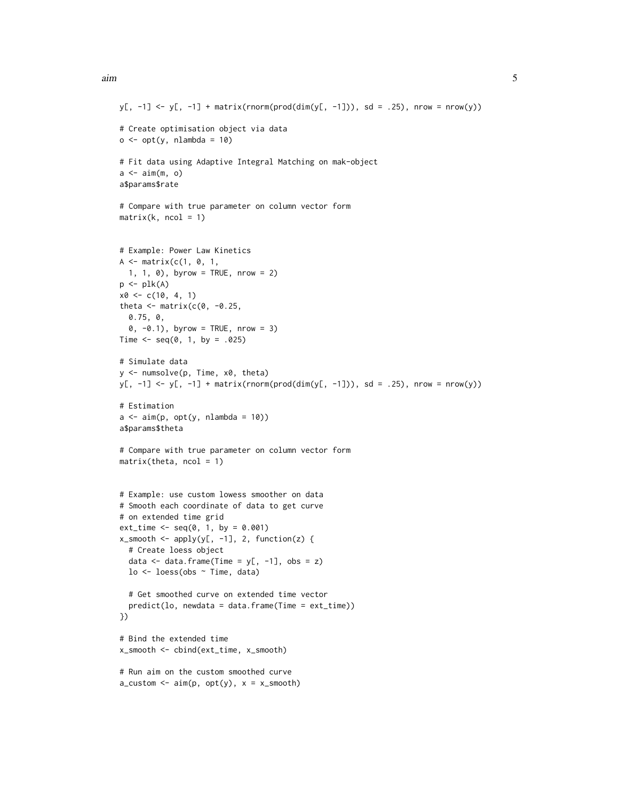```
y[, -1] <- y[, -1] + matrix(rnorm(prod(dim(y[, -1])), sd = .25), nrow = nrow(y))
# Create optimisation object via data
o \leftarrow opt(y, \text{nlambda} = 10)# Fit data using Adaptive Integral Matching on mak-object
a \leftarrow \text{aim}(m, o)a$params$rate
# Compare with true parameter on column vector form
matrix(k, ncol = 1)# Example: Power Law Kinetics
A \leq matrix(c(1, 0, 1,
  1, 1, 0), byrow = TRUE, nrow = 2)
p \leftarrow plk(A)x0 \leq c(10, 4, 1)theta \leq matrix(c(0, -0.25,
  0.75, 0,
  0, -0.1), byrow = TRUE, nrow = 3)
Time \leq - seq(0, 1, by = .025)
# Simulate data
y <- numsolve(p, Time, x0, theta)
y[, -1] <- y[, -1] + matrix(rnorm(prod(dim(y[, -1])), sd = .25), nrow = nrow(y))
# Estimation
a \leq -\operatorname{aim}(p, opt(y, nlambda = 10))a$params$theta
# Compare with true parameter on column vector form
matrix(theta, ncol = 1)# Example: use custom lowess smoother on data
# Smooth each coordinate of data to get curve
# on extended time grid
ext_time < - seq(0, 1, by = 0.001)x_smooth <- apply(y[, -1], 2, function(z) {
  # Create loess object
  data \leq data.frame(Time = y[, -1], obs = z)
  lo <- loess(obs ~ Time, data)
  # Get smoothed curve on extended time vector
  predict(lo, newdata = data.frame(Time = ext_time))
})
# Bind the extended time
x_smooth <- cbind(ext_time, x_smooth)
# Run aim on the custom smoothed curve
a_ccustom \leq \alphaim(p, opt(y), x = x_csmooth)
```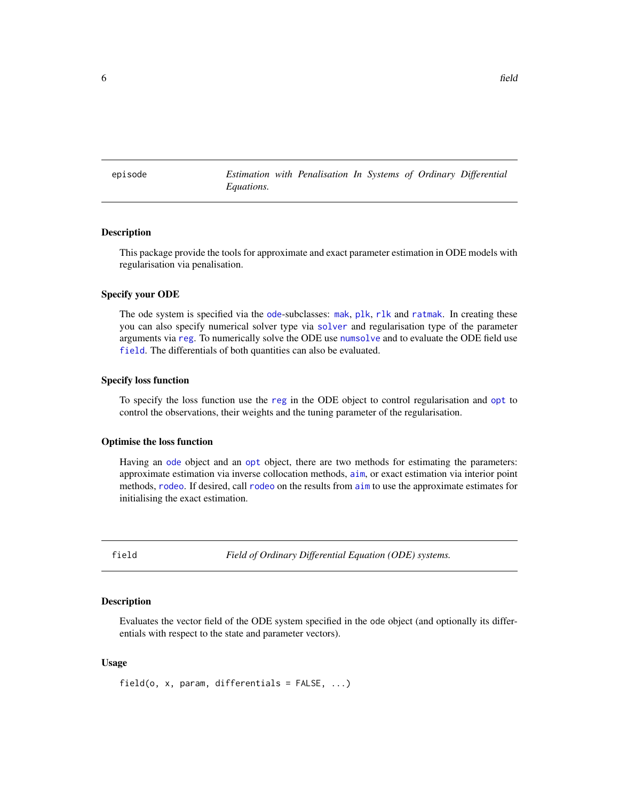<span id="page-5-0"></span>episode *Estimation with Penalisation In Systems of Ordinary Differential Equations.*

# **Description**

This package provide the tools for approximate and exact parameter estimation in ODE models with regularisation via penalisation.

# Specify your ODE

The ode system is specified via the [ode](#page-14-1)-subclasses: [mak](#page-9-1), [plk](#page-17-1), [rlk](#page-28-1) and [ratmak](#page-23-1). In creating these you can also specify numerical solver type via [solver](#page-36-1) and regularisation type of the parameter arguments via [reg](#page-24-1). To numerically solve the ODE use [numsolve](#page-12-1) and to evaluate the ODE field use [field](#page-5-1). The differentials of both quantities can also be evaluated.

#### Specify loss function

To specify the loss function use the [reg](#page-24-1) in the ODE object to control regularisation and [opt](#page-15-1) to control the observations, their weights and the tuning parameter of the regularisation.

#### Optimise the loss function

Having an [ode](#page-14-1) object and an [opt](#page-15-1) object, there are two methods for estimating the parameters: approximate estimation via inverse collocation methods, [aim](#page-1-1), or exact estimation via interior point methods, [rodeo](#page-29-1). If desired, call [rodeo](#page-29-1) on the results from [aim](#page-1-1) to use the approximate estimates for initialising the exact estimation.

<span id="page-5-1"></span>field *Field of Ordinary Differential Equation (ODE) systems.*

#### Description

Evaluates the vector field of the ODE system specified in the ode object (and optionally its differentials with respect to the state and parameter vectors).

#### Usage

field(o,  $x$ , param, differentials = FALSE,  $\ldots$ )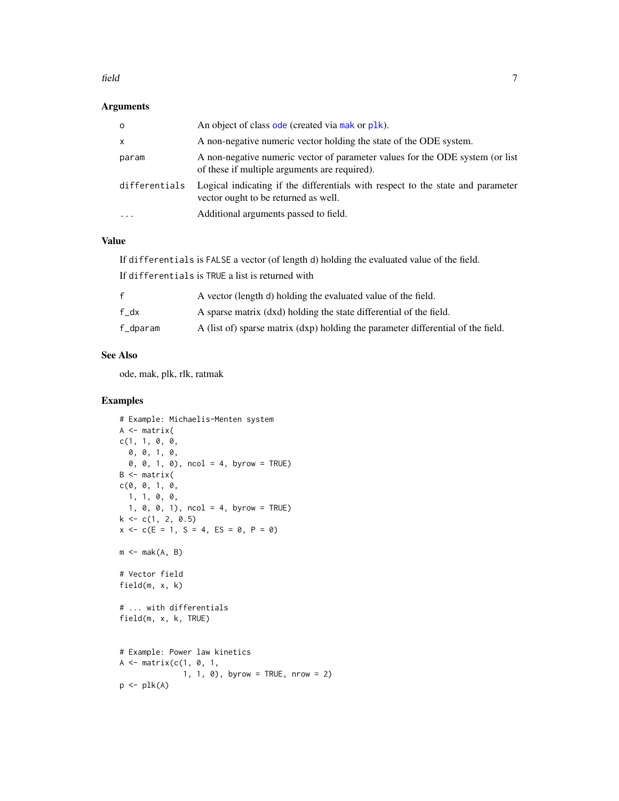#### field 7 and 7 and 7 and 7 and 7 and 7 and 7 and 7 and 7 and 7 and 7 and 7 and 7 and 7 and 7 and 7 and 7 and 7 and 7 and 7 and 7 and 7 and 7 and 7 and 7 and 7 and 7 and 7 and 7 and 7 and 7 and 7 and 7 and 7 and 7 and 7 and

# Arguments

| $\Omega$      | An object of class ode (created via mak or plk).                                                                               |
|---------------|--------------------------------------------------------------------------------------------------------------------------------|
| $\mathsf{x}$  | A non-negative numeric vector holding the state of the ODE system.                                                             |
| param         | A non-negative numeric vector of parameter values for the ODE system (or list<br>of these if multiple arguments are required). |
| differentials | Logical indicating if the differentials with respect to the state and parameter<br>vector ought to be returned as well.        |
| $\cdots$      | Additional arguments passed to field.                                                                                          |

# Value

If differentials is FALSE a vector (of length d) holding the evaluated value of the field. If differentials is TRUE a list is returned with

|          | A vector (length d) holding the evaluated value of the field.                    |
|----------|----------------------------------------------------------------------------------|
| f dx     | A sparse matrix (dxd) holding the state differential of the field.               |
| f_dparam | A (list of) sparse matrix (dxp) holding the parameter differential of the field. |

# See Also

ode, mak, plk, rlk, ratmak

```
# Example: Michaelis-Menten system
A \leftarrow matrix(c(1, 1, 0, 0,
  0, 0, 1, 0,
  0, 0, 1, 0), ncol = 4, byrow = TRUE)
B <- matrix(
c(0, 0, 1, 0,1, 1, 0, 0,
  1, 0, 0, 1), ncol = 4, byrow = TRUE)
k \leq c(1, 2, 0.5)x \leq -c(E = 1, S = 4, ES = 0, P = 0)m \leftarrow mak(A, B)# Vector field
field(m, x, k)
# ... with differentials
field(m, x, k, TRUE)
# Example: Power law kinetics
A \leq - matrix(c(1, 0, 1,
               1, 1, 0), byrow = TRUE, nrow = 2)
p \leftarrow plk(A)
```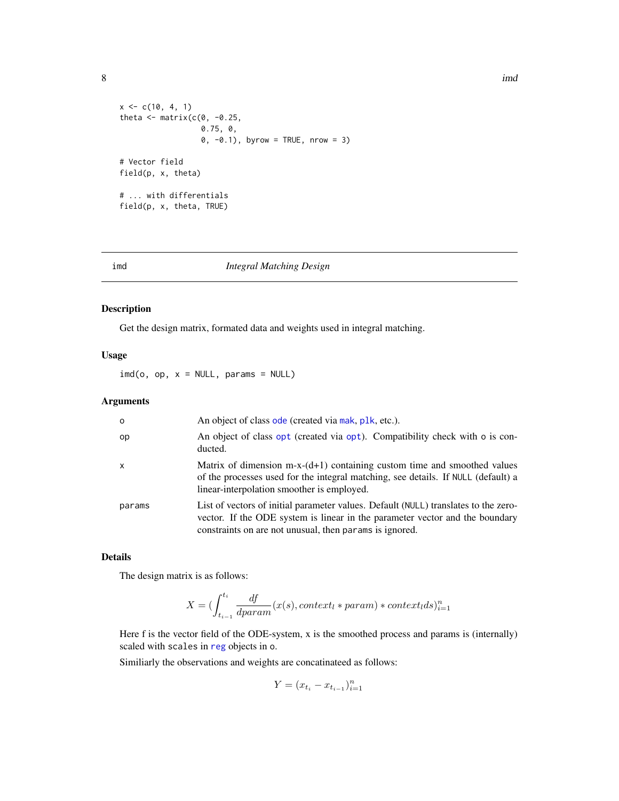<span id="page-7-0"></span>8 imd

```
x \leq c(10, 4, 1)theta \leq matrix(c(0, -0.25,
                  0.75, 0,
                  0, -0.1), byrow = TRUE, nrow = 3)
# Vector field
field(p, x, theta)
# ... with differentials
field(p, x, theta, TRUE)
```
# imd *Integral Matching Design*

# Description

Get the design matrix, formated data and weights used in integral matching.

# Usage

 $ind(o, op, x = NULL, params = NULL)$ 

# Arguments

| $\circ$      | An object of class ode (created via mak, plk, etc.).                                                                                                                                                                           |
|--------------|--------------------------------------------------------------------------------------------------------------------------------------------------------------------------------------------------------------------------------|
| op           | An object of class opt (created via opt). Compatibility check with o is con-<br>ducted.                                                                                                                                        |
| $\mathsf{x}$ | Matrix of dimension m-x- $(d+1)$ containing custom time and smoothed values<br>of the processes used for the integral matching, see details. If NULL (default) a<br>linear-interpolation smoother is employed.                 |
| params       | List of vectors of initial parameter values. Default (NULL) translates to the zero-<br>vector. If the ODE system is linear in the parameter vector and the boundary<br>constraints on are not unusual, then params is ignored. |

# Details

The design matrix is as follows:

$$
X = (\int_{t_{i-1}}^{t_i} \frac{df}{dparam}(x(s), context_l * param) * context_l ds)_{i=1}^n
$$

Here f is the vector field of the ODE-system, x is the smoothed process and params is (internally) scaled with scales in [reg](#page-24-1) objects in o.

Similiarly the observations and weights are concatinateed as follows:

$$
Y = (x_{t_i} - x_{t_{i-1}})_{i=1}^n
$$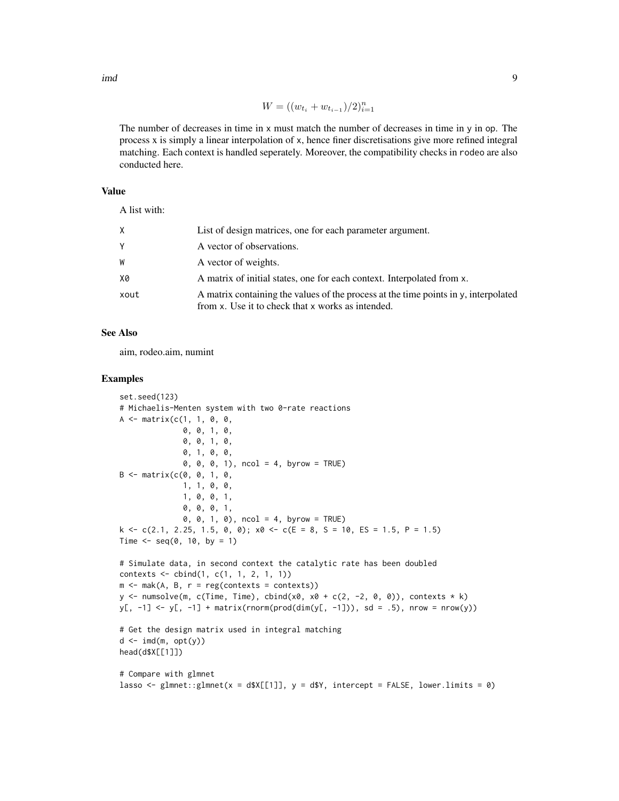imd **9** 

$$
W = ((w_{t_i} + w_{t_{i-1}})/2)_{i=1}^n
$$

The number of decreases in time in x must match the number of decreases in time in y in op. The process x is simply a linear interpolation of x, hence finer discretisations give more refined integral matching. Each context is handled seperately. Moreover, the compatibility checks in rodeo are also conducted here.

# Value

A list with:

| X.   | List of design matrices, one for each parameter argument.                                                                                |
|------|------------------------------------------------------------------------------------------------------------------------------------------|
|      | A vector of observations.                                                                                                                |
| W    | A vector of weights.                                                                                                                     |
| 88   | A matrix of initial states, one for each context. Interpolated from x.                                                                   |
| xout | A matrix containing the values of the process at the time points in y, interpolated<br>from x. Use it to check that x works as intended. |

#### See Also

aim, rodeo.aim, numint

```
set.seed(123)
# Michaelis-Menten system with two 0-rate reactions
A \leq - matrix(c(1, 1, 0, 0,
              0, 0, 1, 0,
              0, 0, 1, 0,
              0, 1, 0, 0,
              0, 0, 0, 1), ncol = 4, byrow = TRUE)
B \le - matrix(c(0, 0, 1, 0,
              1, 1, 0, 0,
              1, 0, 0, 1,
              0, 0, 0, 1,
              0, 0, 1, 0), ncol = 4, byrow = TRUE)
k \leq c(2.1, 2.25, 1.5, 0, 0); x0 \leq c(E = 8, S = 10, ES = 1.5, P = 1.5)Time \leq seq(0, 10, by = 1)
# Simulate data, in second context the catalytic rate has been doubled
contexts <- cbind(1, c(1, 1, 2, 1, 1))
m \le -mak(A, B, r = reg(contexts = contexts))y <- numsolve(m, c(Time, Time), cbind(x0, x0 + c(2, -2, 0, 0)), contexts * k)
y[, -1] <- y[, -1] + matrix(rnorm(prod(dim(y[, -1])), sd = .5), nrow = nrow(y))
# Get the design matrix used in integral matching
d \leftarrow \text{imd}(\mathfrak{m}, \text{opt}(y))head(d$X[[1]])
# Compare with glmnet
lasso <- glmnet::glmnet(x = d$X[[1]], y = d$Y, intercept = FALSE, lower.limits = 0)
```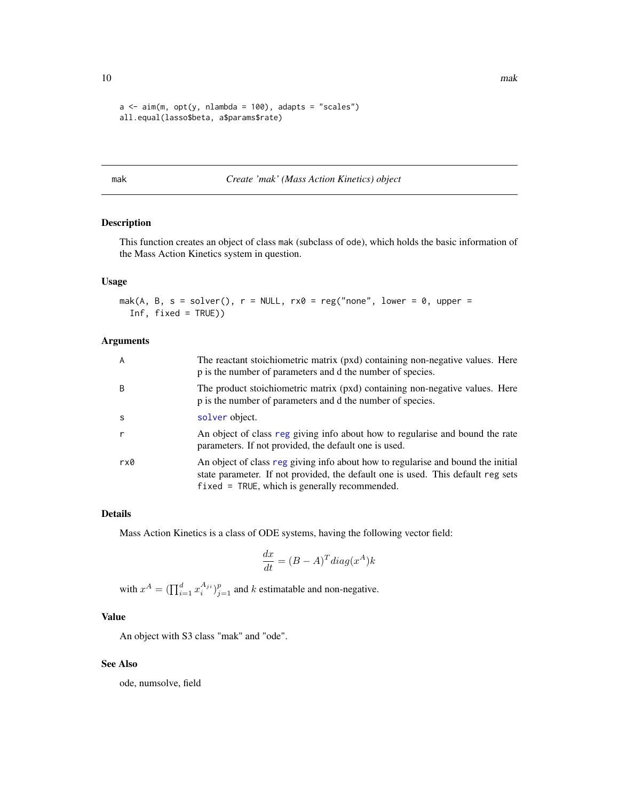```
a \leq a im(m, opt(y, nlambda = 100), adapts = "scales")
all.equal(lasso$beta, a$params$rate)
```
<span id="page-9-1"></span>

#### mak *Create 'mak' (Mass Action Kinetics) object*

# Description

This function creates an object of class mak (subclass of ode), which holds the basic information of the Mass Action Kinetics system in question.

#### Usage

```
mak(A, B, s = solver(), r = NULL, rx0 = reg("none", lower = 0, upper =Inf, fixed = TRUE))
```
#### Arguments

| $\overline{A}$ | The reactant stoichiometric matrix (pxd) containing non-negative values. Here<br>p is the number of parameters and d the number of species.                                                                              |
|----------------|--------------------------------------------------------------------------------------------------------------------------------------------------------------------------------------------------------------------------|
| <sup>B</sup>   | The product stoichiometric matrix (pxd) containing non-negative values. Here<br>p is the number of parameters and d the number of species.                                                                               |
| -S             | solver object.                                                                                                                                                                                                           |
| r              | An object of class reg giving info about how to regularise and bound the rate<br>parameters. If not provided, the default one is used.                                                                                   |
| rx0            | An object of class reg giving info about how to regularise and bound the initial<br>state parameter. If not provided, the default one is used. This default reg sets<br>$fixed = TRUE$ , which is generally recommended. |

# Details

Mass Action Kinetics is a class of ODE systems, having the following vector field:

$$
\frac{dx}{dt} = (B - A)^T diag(x^A)k
$$

with  $x^A = \left( \prod_{i=1}^d x_i^{A_{ji}} \right)_{j=1}^p$  and k estimatable and non-negative.

# Value

An object with S3 class "mak" and "ode".

#### See Also

ode, numsolve, field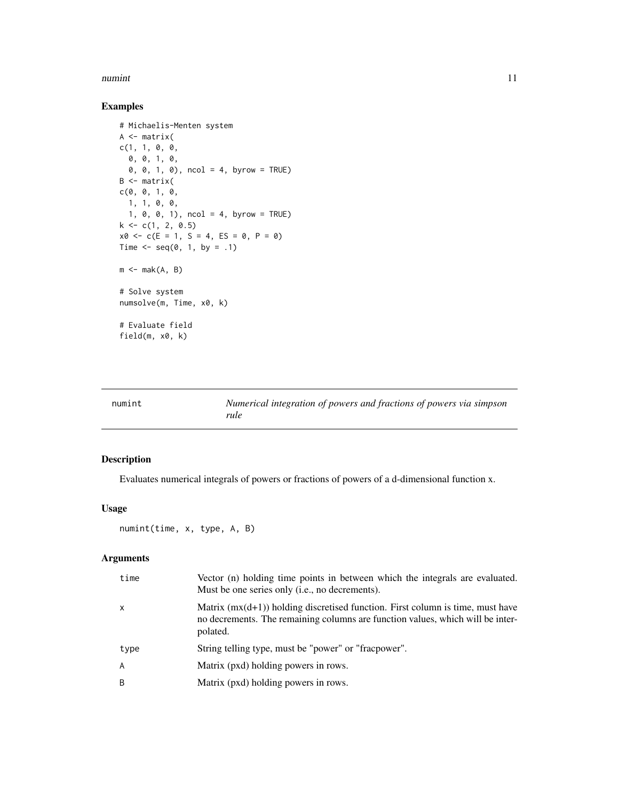#### <span id="page-10-0"></span>numint the contract of the contract of the contract of the contract of the contract of the contract of the contract of the contract of the contract of the contract of the contract of the contract of the contract of the con

# Examples

```
# Michaelis-Menten system
A \leftarrow matrix(c(1, 1, 0, 0,0, 0, 1, 0,
  0, 0, 1, 0), ncol = 4, byrow = TRUE)
B <- matrix(
c(0, 0, 1, 0,1, 1, 0, 0,
  1, 0, 0, 1), ncol = 4, byrow = TRUE)
k \leq c(1, 2, 0.5)x0 \leq -c(E = 1, S = 4, ES = 0, P = 0)Time \leq - seq(0, 1, by = .1)
m \leftarrow mak(A, B)# Solve system
numsolve(m, Time, x0, k)
# Evaluate field
field(m, x0, k)
```

| numint | Numerical integration of powers and fractions of powers via simpson |
|--------|---------------------------------------------------------------------|
|        | rule                                                                |

# Description

Evaluates numerical integrals of powers or fractions of powers of a d-dimensional function x.

# Usage

```
numint(time, x, type, A, B)
```
#### Arguments

| time           | Vector (n) holding time points in between which the integrals are evaluated.<br>Must be one series only ( <i>i.e.</i> , no decrements).                                        |
|----------------|--------------------------------------------------------------------------------------------------------------------------------------------------------------------------------|
| $\mathsf{x}$   | Matrix $(mx(d+1))$ holding discretised function. First column is time, must have<br>no decrements. The remaining columns are function values, which will be inter-<br>polated. |
| type           | String telling type, must be "power" or "fracpower".                                                                                                                           |
| $\overline{A}$ | Matrix (pxd) holding powers in rows.                                                                                                                                           |
| B              | Matrix (pxd) holding powers in rows.                                                                                                                                           |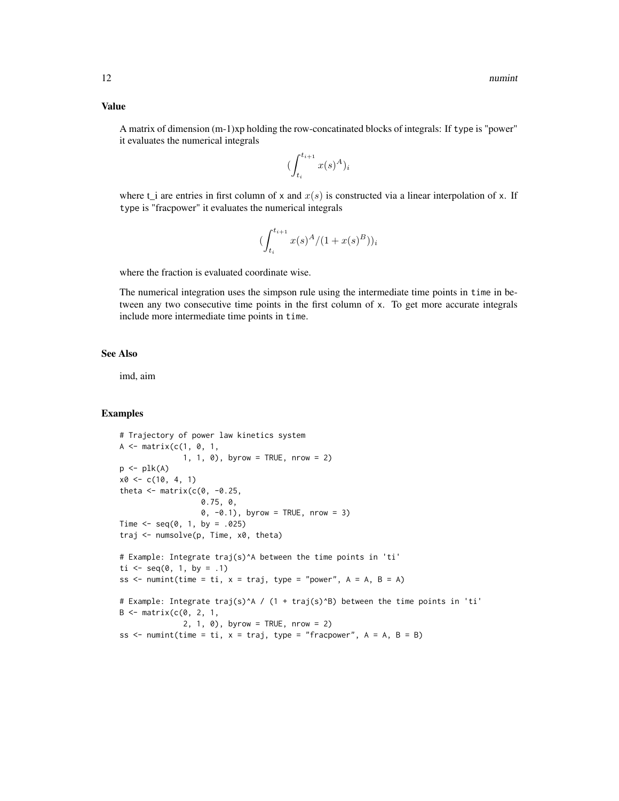A matrix of dimension (m-1)xp holding the row-concatinated blocks of integrals: If type is "power" it evaluates the numerical integrals

$$
(\int_{t_i}^{t_{i+1}} x(s)^A)_i
$$

where  $t_i$  are entries in first column of x and  $x(s)$  is constructed via a linear interpolation of x. If type is "fracpower" it evaluates the numerical integrals

$$
(\int_{t_i}^{t_{i+1}} x(s)^A / (1 + x(s)^B))_i
$$

where the fraction is evaluated coordinate wise.

The numerical integration uses the simpson rule using the intermediate time points in time in between any two consecutive time points in the first column of x. To get more accurate integrals include more intermediate time points in time.

#### See Also

imd, aim

```
# Trajectory of power law kinetics system
A \leq - matrix(c(1, 0, 1,
              1, 1, 0), byrow = TRUE, nrow = 2)
p \leftarrow plk(A)x0 \leq c(10, 4, 1)theta \leq matrix(c(0, -0.25,0.75, 0,
                  0, -0.1), byrow = TRUE, nrow = 3)
Time \leq seq(0, 1, by = .025)
traj <- numsolve(p, Time, x0, theta)
# Example: Integrate traj(s)^A between the time points in 'ti'
ti <- seq(0, 1, by = .1)ss \le numint(time = ti, x = traj, type = "power", A = A, B = A)
# Example: Integrate traj(s)^A / (1 + traj(s)^B) between the time points in 'ti'
B \leq - matrix(c(0, 2, 1,
              2, 1, 0), byrow = TRUE, nrow = 2)
ss \le numint(time = ti, x = traj, type = "fracpower", A = A, B = B)
```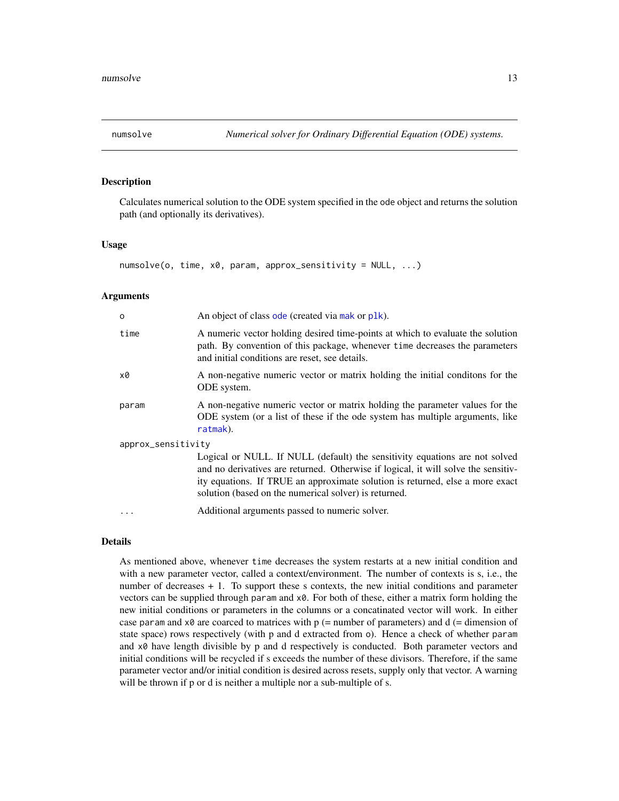<span id="page-12-1"></span><span id="page-12-0"></span>

# Description

Calculates numerical solution to the ODE system specified in the ode object and returns the solution path (and optionally its derivatives).

#### Usage

```
numsolve(o, time, x0, param, approx_sensitivity = NULL, ...)
```
#### Arguments

| Ó                  | An object of class ode (created via mak or plk).                                                                                                                                                                                                                                                            |  |
|--------------------|-------------------------------------------------------------------------------------------------------------------------------------------------------------------------------------------------------------------------------------------------------------------------------------------------------------|--|
| time               | A numeric vector holding desired time-points at which to evaluate the solution<br>path. By convention of this package, whenever time decreases the parameters<br>and initial conditions are reset, see details.                                                                                             |  |
| x0                 | A non-negative numeric vector or matrix holding the initial conditions for the<br>ODE system.                                                                                                                                                                                                               |  |
| param              | A non-negative numeric vector or matrix holding the parameter values for the<br>ODE system (or a list of these if the ode system has multiple arguments, like<br>ratmak).                                                                                                                                   |  |
| approx_sensitivity |                                                                                                                                                                                                                                                                                                             |  |
|                    | Logical or NULL. If NULL (default) the sensitivity equations are not solved<br>and no derivatives are returned. Otherwise if logical, it will solve the sensitiv-<br>ity equations. If TRUE an approximate solution is returned, else a more exact<br>solution (based on the numerical solver) is returned. |  |
| $\cdots$           | Additional arguments passed to numeric solver.                                                                                                                                                                                                                                                              |  |

# Details

As mentioned above, whenever time decreases the system restarts at a new initial condition and with a new parameter vector, called a context/environment. The number of contexts is s, i.e., the number of decreases + 1. To support these s contexts, the new initial conditions and parameter vectors can be supplied through param and x0. For both of these, either a matrix form holding the new initial conditions or parameters in the columns or a concatinated vector will work. In either case param and  $x\theta$  are coarced to matrices with  $p$  (= number of parameters) and  $d$  (= dimension of state space) rows respectively (with p and d extracted from o). Hence a check of whether param and x0 have length divisible by p and d respectively is conducted. Both parameter vectors and initial conditions will be recycled if s exceeds the number of these divisors. Therefore, if the same parameter vector and/or initial condition is desired across resets, supply only that vector. A warning will be thrown if p or d is neither a multiple nor a sub-multiple of s.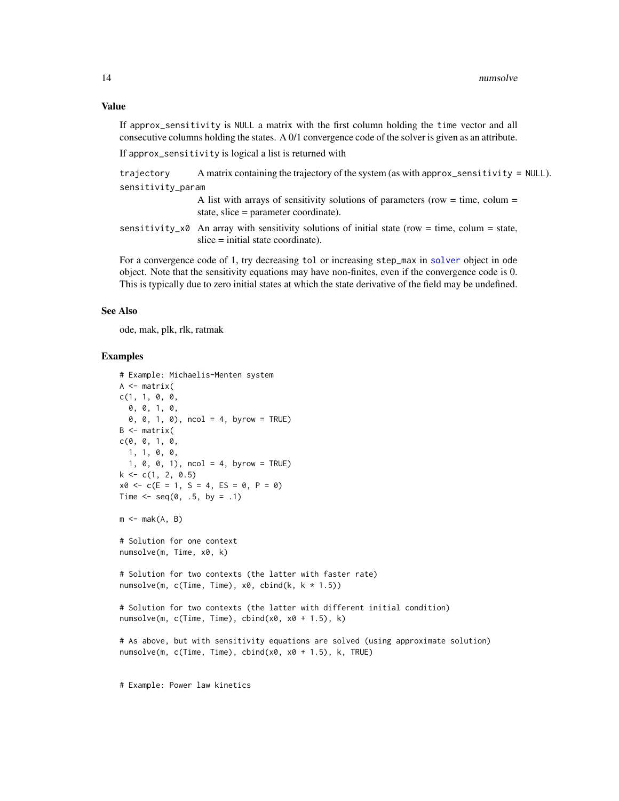<span id="page-13-0"></span>If approx\_sensitivity is NULL a matrix with the first column holding the time vector and all consecutive columns holding the states. A 0/1 convergence code of the solver is given as an attribute.

If approx\_sensitivity is logical a list is returned with

```
trajectory A matrix containing the trajectory of the system (as with approx_sensitivity = NULL).
sensitivity_param
```
A list with arrays of sensitivity solutions of parameters (row  $=$  time, colum  $=$ state, slice = parameter coordinate).

sensitivity\_ $x0$  An array with sensitivity solutions of initial state (row = time, colum = state, slice = initial state coordinate).

For a convergence code of 1, try decreasing tol or increasing step\_max in [solver](#page-36-1) object in ode object. Note that the sensitivity equations may have non-finites, even if the convergence code is 0. This is typically due to zero initial states at which the state derivative of the field may be undefined.

# See Also

ode, mak, plk, rlk, ratmak

#### Examples

```
# Example: Michaelis-Menten system
A \leftarrow matrix(c(1, 1, 0, 0,
  0, 0, 1, 0,
  0, 0, 1, 0), ncol = 4, byrow = TRUE)
B \leq - matrix(
c(0, 0, 1, 0,1, 1, 0, 0,
  1, 0, 0, 1), ncol = 4, byrow = TRUE)
k \leq -c(1, 2, 0.5)x0 \leq -c(E = 1, S = 4, ES = 0, P = 0)Time \leq - seq(0, .5, by = .1)
m \leq -mak(A, B)# Solution for one context
numsolve(m, Time, x0, k)
# Solution for two contexts (the latter with faster rate)
numsolve(m, c(Time, Time), x0, cbind(k, k * 1.5))
# Solution for two contexts (the latter with different initial condition)
numsolve(m, c(Time, Time), chind(x0, x0 + 1.5), k)# As above, but with sensitivity equations are solved (using approximate solution)
numsolve(m, c(Time, Time), cbind(x0, x0 + 1.5), k, TRUE)
```
# Example: Power law kinetics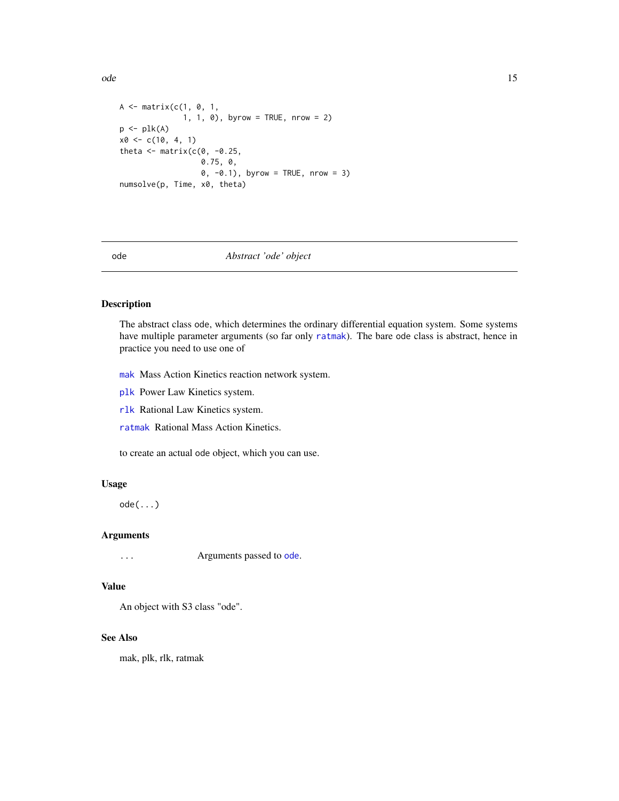<span id="page-14-0"></span>ode and the state of the state of the state of the state of the state of the state of the state of the state of the state of the state of the state of the state of the state of the state of the state of the state of the st

```
A \leq matrix(c(1, 0, 1,
              1, 1, 0), byrow = TRUE, nrow = 2)
p \leftarrow plk(A)x0 \leq c(10, 4, 1)theta \leq matrix(c(0, -0.25,
                   0.75, 0,
                   0, -0.1), byrow = TRUE, nrow = 3)
numsolve(p, Time, x0, theta)
```
# <span id="page-14-1"></span>ode *Abstract 'ode' object*

#### Description

The abstract class ode, which determines the ordinary differential equation system. Some systems have multiple parameter arguments (so far only [ratmak](#page-23-1)). The bare ode class is abstract, hence in practice you need to use one of

- [mak](#page-9-1) Mass Action Kinetics reaction network system.
- [plk](#page-17-1) Power Law Kinetics system.

[rlk](#page-28-1) Rational Law Kinetics system.

[ratmak](#page-23-1) Rational Mass Action Kinetics.

to create an actual ode object, which you can use.

# Usage

ode(...)

# Arguments

... Arguments passed to [ode](#page-14-1).

#### Value

An object with S3 class "ode".

#### See Also

mak, plk, rlk, ratmak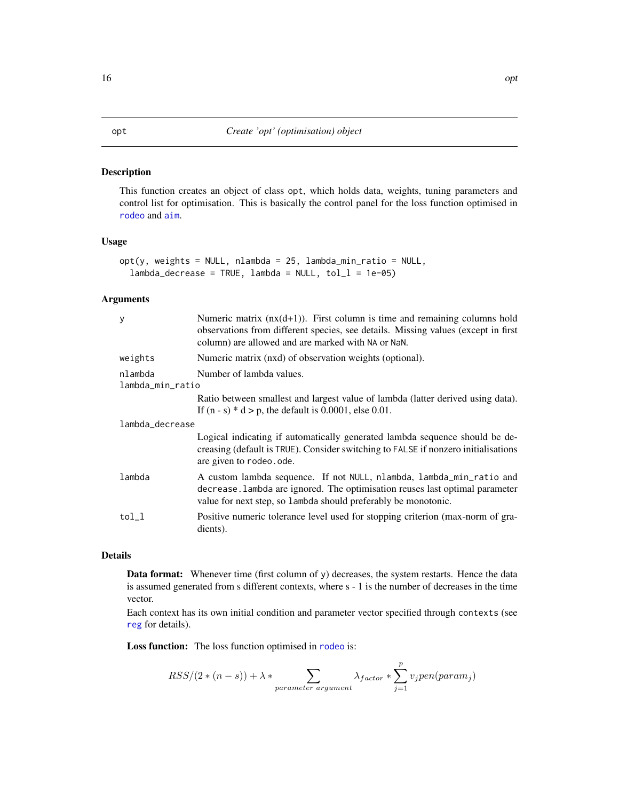# <span id="page-15-1"></span><span id="page-15-0"></span>Description

This function creates an object of class opt, which holds data, weights, tuning parameters and control list for optimisation. This is basically the control panel for the loss function optimised in [rodeo](#page-29-1) and [aim](#page-1-1).

# Usage

```
opt(y, weights = NULL, nlambda = 25, lambda\_min\_ratio = NULL,lambda\_decrease = TRUE, lambda = NULL, tol_1 = 1e-05)
```
## Arguments

| y                           | Numeric matrix $(nx(d+1))$ . First column is time and remaining columns hold<br>observations from different species, see details. Missing values (except in first<br>column) are allowed and are marked with NA or NaN. |  |
|-----------------------------|-------------------------------------------------------------------------------------------------------------------------------------------------------------------------------------------------------------------------|--|
| weights                     | Numeric matrix (nxd) of observation weights (optional).                                                                                                                                                                 |  |
| nlambda<br>lambda_min_ratio | Number of lambda values.                                                                                                                                                                                                |  |
|                             | Ratio between smallest and largest value of lambda (latter derived using data).<br>If $(n - s) * d > p$ , the default is 0.0001, else 0.01.                                                                             |  |
| lambda_decrease             |                                                                                                                                                                                                                         |  |
|                             | Logical indicating if automatically generated lambda sequence should be de-<br>creasing (default is TRUE). Consider switching to FALSE if nonzero initialisations<br>are given to rodeo.ode.                            |  |
| lambda                      | A custom lambda sequence. If not NULL, nlambda, lambda_min_ratio and<br>decrease. Lambda are ignored. The optimisation reuses last optimal parameter<br>value for next step, so lambda should preferably be monotonic.  |  |
| tol l                       | Positive numeric tolerance level used for stopping criterion (max-norm of gra-<br>dients).                                                                                                                              |  |

# Details

Data format: Whenever time (first column of y) decreases, the system restarts. Hence the data is assumed generated from s different contexts, where s - 1 is the number of decreases in the time vector.

Each context has its own initial condition and parameter vector specified through contexts (see [reg](#page-24-1) for details).

Loss function: The loss function optimised in [rodeo](#page-29-1) is:

$$
RSS/(2*(n-s)) + \lambda * \sum_{parameter\ argument} \lambda_{factor} * \sum_{j=1}^{p} v_j pen(param_j)
$$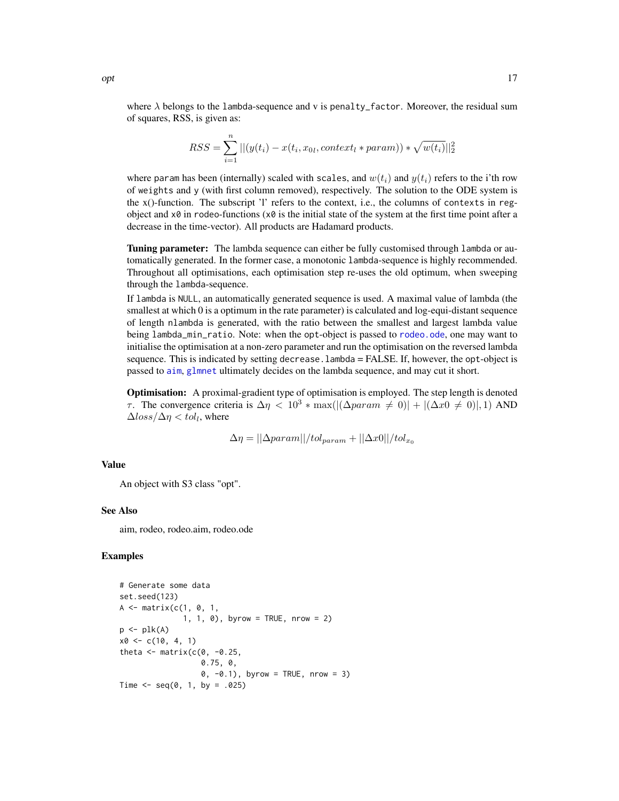<span id="page-16-0"></span>where  $\lambda$  belongs to the lambda-sequence and v is penalty\_factor. Moreover, the residual sum of squares, RSS, is given as:

$$
RSS = \sum_{i=1}^{n} ||(y(t_i) - x(t_i, x_{0l}, context_l * param)) * \sqrt{w(t_i)}||_2^2
$$

where param has been (internally) scaled with scales, and  $w(t_i)$  and  $y(t_i)$  refers to the i'th row of weights and y (with first column removed), respectively. The solution to the ODE system is the x()-function. The subscript 'l' refers to the context, i.e., the columns of contexts in regobject and  $x\theta$  in rodeo-functions  $(x\theta)$  is the initial state of the system at the first time point after a decrease in the time-vector). All products are Hadamard products.

Tuning parameter: The lambda sequence can either be fully customised through lambda or automatically generated. In the former case, a monotonic lambda-sequence is highly recommended. Throughout all optimisations, each optimisation step re-uses the old optimum, when sweeping through the lambda-sequence.

If lambda is NULL, an automatically generated sequence is used. A maximal value of lambda (the smallest at which 0 is a optimum in the rate parameter) is calculated and log-equi-distant sequence of length nlambda is generated, with the ratio between the smallest and largest lambda value being lambda\_min\_ratio. Note: when the opt-object is passed to [rodeo.ode](#page-34-1), one may want to initialise the optimisation at a non-zero parameter and run the optimisation on the reversed lambda sequence. This is indicated by setting decrease.lambda = FALSE. If, however, the opt-object is passed to [aim](#page-1-1), [glmnet](#page-0-0) ultimately decides on the lambda sequence, and may cut it short.

Optimisation: A proximal-gradient type of optimisation is employed. The step length is denoted τ. The convergence criteria is  $\Delta \eta$  < 10<sup>3</sup> ∗ max( $|(\Delta param ≠ 0)| + |(\Delta x0 ≠ 0)|, 1$ ) AND  $\Delta loss/\Delta \eta < tol_l$ , where

$$
\Delta \eta = ||\Delta param||/tol_{param} + ||\Delta x0||/tol_{x_0}
$$

#### Value

An object with S3 class "opt".

#### See Also

aim, rodeo, rodeo.aim, rodeo.ode

```
# Generate some data
set.seed(123)
A \leftarrow matrix(c(1, 0, 1,1, 1, 0), byrow = TRUE, nrow = 2)
p \leftarrow plk(A)x0 \leq -c(10, 4, 1)theta \leq matrix(c(0, -0.25,0.75, 0,
                    0, -0.1), byrow = TRUE, nrow = 3)
Time \leq seq(0, 1, by = .025)
```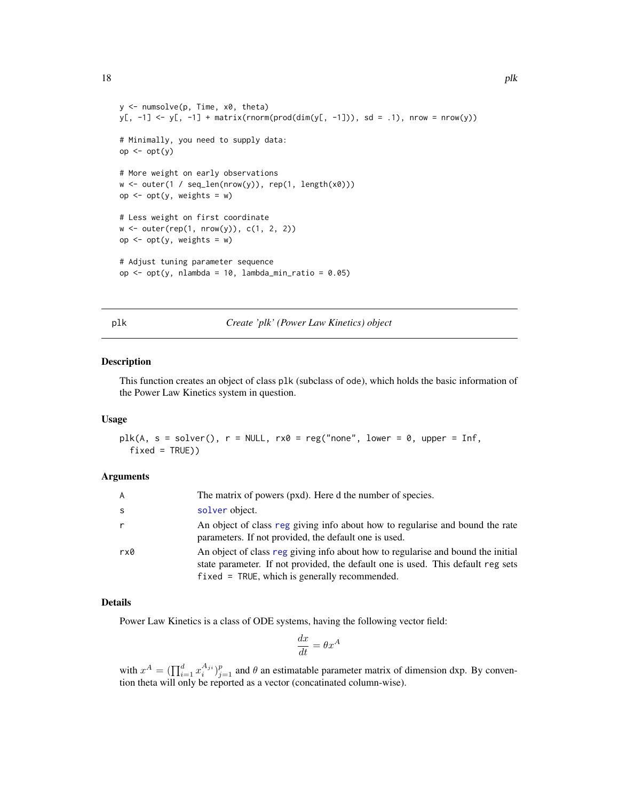```
y <- numsolve(p, Time, x0, theta)
y[, -1] <- y[, -1] + matrix(rnorm(prod(dim(y[, -1])), sd = .1), nrow = nrow(y))
# Minimally, you need to supply data:
op <- opt(y)
# More weight on early observations
w <- outer(1 / seq_len(nrow(y)), rep(1, length(x0)))
op \leq opt(y, weights = w)
# Less weight on first coordinate
w <- outer(rep(1, nrow(y)), c(1, 2, 2))
op \leq opt(y, weights = w)
# Adjust tuning parameter sequence
op <- opt(y, nlambda = 10, lambda_min_ratio = 0.05)
```
<span id="page-17-1"></span>plk *Create 'plk' (Power Law Kinetics) object*

#### Description

This function creates an object of class plk (subclass of ode), which holds the basic information of the Power Law Kinetics system in question.

#### Usage

```
plk(A, s = solver(), r = NULL, rx0 = reg("none", lower = 0, upper = Inf,fixed = TRUE))
```
#### Arguments

| $\overline{A}$ | The matrix of powers (pxd). Here d the number of species.                                                                                                                                                                |
|----------------|--------------------------------------------------------------------------------------------------------------------------------------------------------------------------------------------------------------------------|
| -S             | solver object.                                                                                                                                                                                                           |
|                | An object of class reg giving info about how to regularise and bound the rate<br>parameters. If not provided, the default one is used.                                                                                   |
| rx0            | An object of class reg giving info about how to regularise and bound the initial<br>state parameter. If not provided, the default one is used. This default reg sets<br>$fixed = TRUE$ , which is generally recommended. |

#### Details

Power Law Kinetics is a class of ODE systems, having the following vector field:

$$
\frac{dx}{dt} = \theta x^A
$$

with  $x^A = (\prod_{i=1}^d x_i^{A_{ji}})_{j=1}^p$  and  $\theta$  an estimatable parameter matrix of dimension dxp. By convention theta will only be reported as a vector (concatinated column-wise).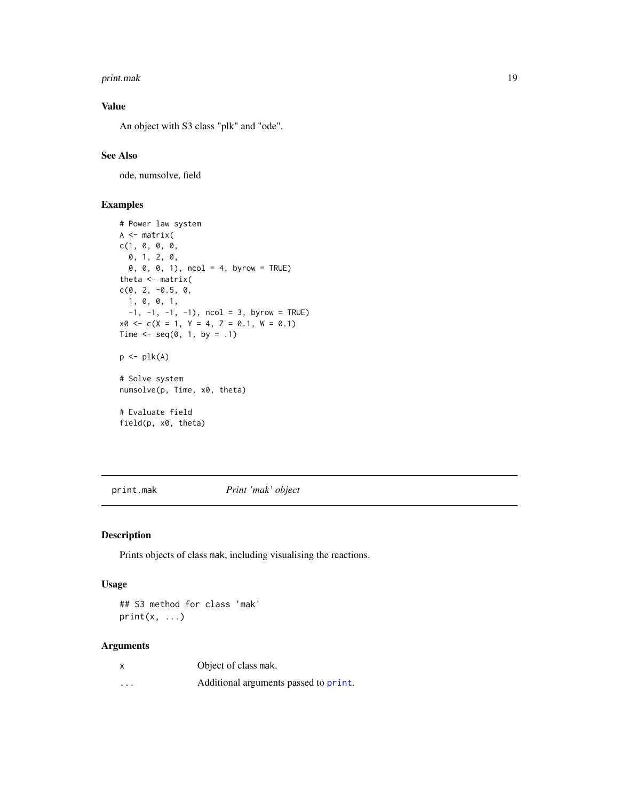#### <span id="page-18-0"></span>print.mak 19

# Value

An object with S3 class "plk" and "ode".

# See Also

ode, numsolve, field

# Examples

```
# Power law system
A <- matrix(
c(1, 0, 0, 0,
  0, 1, 2, 0,
  0, 0, 0, 1), ncol = 4, byrow = TRUE)
theta <- matrix(
c(0, 2, -0.5, 0,1, 0, 0, 1,
  -1, -1, -1, -1), ncol = 3, byrow = TRUE)
x0 \leq -c(X = 1, Y = 4, Z = 0.1, W = 0.1)Time \leq seq(0, 1, by = .1)
p \leftarrow plk(A)# Solve system
numsolve(p, Time, x0, theta)
# Evaluate field
field(p, x0, theta)
```
print.mak *Print 'mak' object*

# Description

Prints objects of class mak, including visualising the reactions.

# Usage

```
## S3 method for class 'mak'
print(x, \ldots)
```
# Arguments

| X        | Object of class mak.                  |
|----------|---------------------------------------|
| $\cdots$ | Additional arguments passed to print. |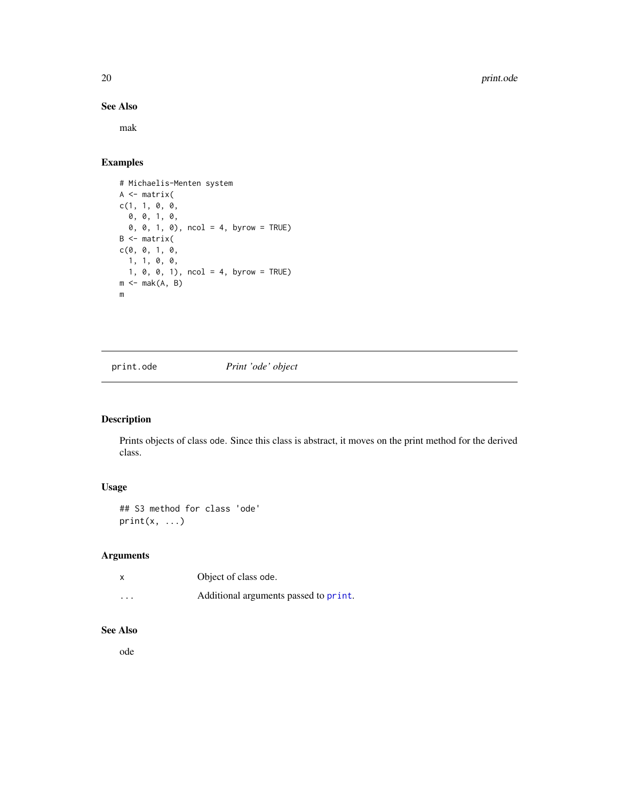20 print.ode to the contract of the contract of the contract of the contract of the contract of the contract of the contract of the contract of the contract of the contract of the contract of the contract of the contract o

# See Also

mak

# Examples

```
# Michaelis-Menten system
A <- matrix(
c(1, 1, 0, 0,
  0, 0, 1, 0,
  0, 0, 1, 0), ncol = 4, byrow = TRUE)
B \leftarrow matrix(c(0, 0, 1, 0,
  1, 1, 0, 0,
  1, 0, 0, 1), ncol = 4, byrow = TRUE)
m \leftarrow mak(A, B)m
```
print.ode *Print 'ode' object*

# Description

Prints objects of class ode. Since this class is abstract, it moves on the print method for the derived class.

# Usage

```
## S3 method for class 'ode'
print(x, \ldots)
```
# Arguments

| X        | Object of class ode.                  |
|----------|---------------------------------------|
| $\cdots$ | Additional arguments passed to print. |

# See Also

ode

<span id="page-19-0"></span>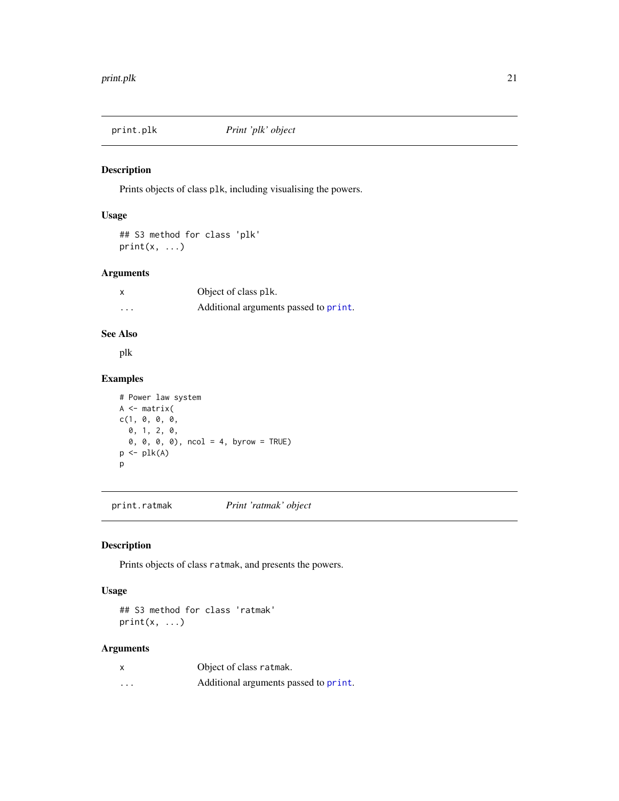<span id="page-20-0"></span>

#### Description

Prints objects of class plk, including visualising the powers.

# Usage

## S3 method for class 'plk'  $print(x, \ldots)$ 

# Arguments

| x | Object of class plk.                  |
|---|---------------------------------------|
| . | Additional arguments passed to print. |

# See Also

plk

# Examples

```
# Power law system
A <- matrix(
c(1, 0, 0, 0,
  0, 1, 2, 0,
  0, 0, 0, 0), ncol = 4, byrow = TRUE)
p \leftarrow plk(A)p
```
print.ratmak *Print 'ratmak' object*

# Description

Prints objects of class ratmak, and presents the powers.

# Usage

## S3 method for class 'ratmak'  $print(x, \ldots)$ 

# Arguments

| X        | Object of class ratmak.               |
|----------|---------------------------------------|
| $\cdots$ | Additional arguments passed to print. |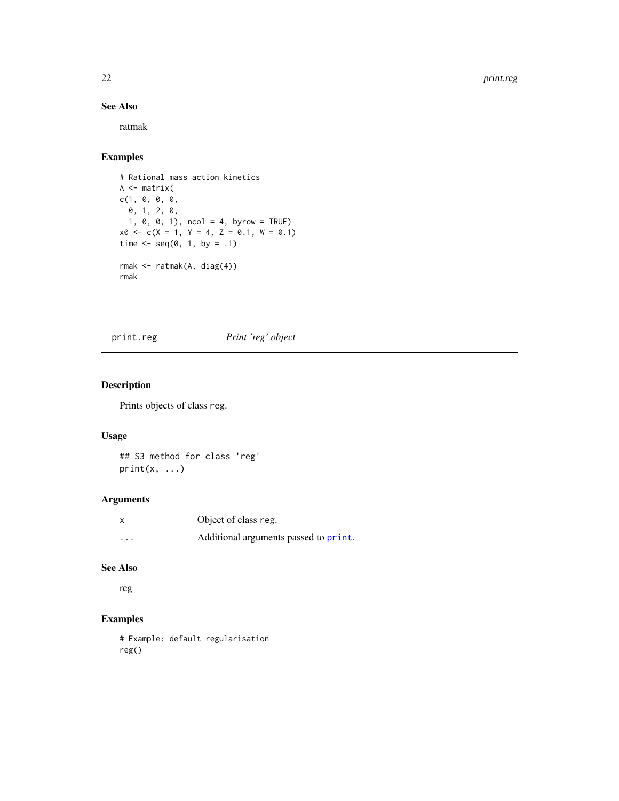# See Also

ratmak

# Examples

```
# Rational mass action kinetics
A <- matrix(
c(1, 0, 0, 0,
  0, 1, 2, 0,
  1, 0, 0, 1), ncol = 4, byrow = TRUE)
x0 \leq -c(X = 1, Y = 4, Z = 0.1, W = 0.1)time \leq seq(0, 1, by = .1)
rmak <- ratmak(A, diag(4))
rmak
```
print.reg *Print 'reg' object*

# Description

Prints objects of class reg.

# Usage

## S3 method for class 'reg'  $print(x, \ldots)$ 

# Arguments

| $\boldsymbol{\mathsf{x}}$ | Object of class reg.                  |
|---------------------------|---------------------------------------|
| $\cdot$ $\cdot$ $\cdot$   | Additional arguments passed to print. |

# See Also

reg

# Examples

# Example: default regularisation reg()

<span id="page-21-0"></span>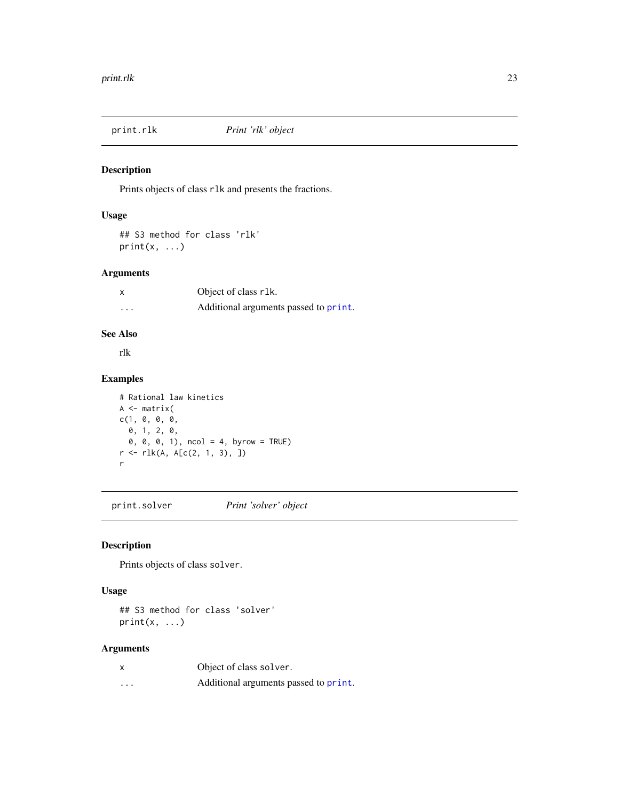<span id="page-22-0"></span>

#### Description

Prints objects of class rlk and presents the fractions.

# Usage

## S3 method for class 'rlk'  $print(x, \ldots)$ 

# Arguments

| x | Object of class r1k.                  |
|---|---------------------------------------|
| . | Additional arguments passed to print. |

# See Also

rlk

# Examples

```
# Rational law kinetics
A \leftarrow matrix(c(1, 0, 0, 0, 0,0, 1, 2, 0,
  0, 0, 0, 1), ncol = 4, byrow = TRUE)
r <- rlk(A, A[c(2, 1, 3), ])
r
```
print.solver *Print 'solver' object*

# Description

Prints objects of class solver.

# Usage

## S3 method for class 'solver'  $print(x, \ldots)$ 

# Arguments

| X        | Object of class solver.               |
|----------|---------------------------------------|
| $\cdots$ | Additional arguments passed to print. |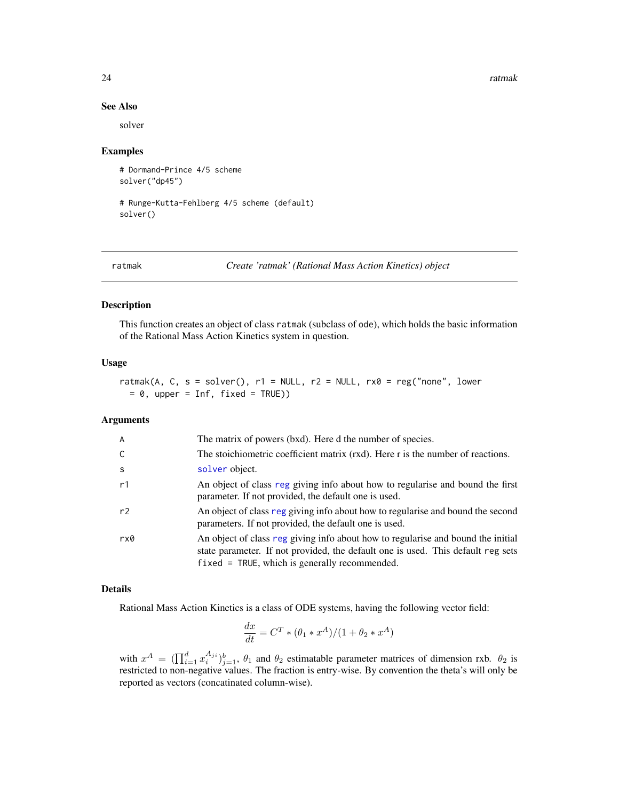#### 24 ratmak

#### See Also

solver

#### Examples

```
# Dormand-Prince 4/5 scheme
solver("dp45")
```

```
# Runge-Kutta-Fehlberg 4/5 scheme (default)
solver()
```
<span id="page-23-1"></span>

ratmak *Create 'ratmak' (Rational Mass Action Kinetics) object*

# Description

This function creates an object of class ratmak (subclass of ode), which holds the basic information of the Rational Mass Action Kinetics system in question.

#### Usage

```
ratmak(A, C, s = solver(), r1 = NULL, r2 = NULL, rx0 = reg("none", lower)= 0, upper = Inf, fixed = TRUE))
```
#### Arguments

| $\overline{A}$ | The matrix of powers (bxd). Here d the number of species.                                                                                                                                                                |
|----------------|--------------------------------------------------------------------------------------------------------------------------------------------------------------------------------------------------------------------------|
| C              | The stoichiometric coefficient matrix (rxd). Here r is the number of reactions.                                                                                                                                          |
| -S             | solver object.                                                                                                                                                                                                           |
| r1             | An object of class reg giving info about how to regularise and bound the first<br>parameter. If not provided, the default one is used.                                                                                   |
| r <sub>2</sub> | An object of class reg giving info about how to regularise and bound the second<br>parameters. If not provided, the default one is used.                                                                                 |
| rx0            | An object of class reg giving info about how to regularise and bound the initial<br>state parameter. If not provided, the default one is used. This default reg sets<br>$fixed = TRUE$ , which is generally recommended. |

# Details

Rational Mass Action Kinetics is a class of ODE systems, having the following vector field:

$$
\frac{dx}{dt} = C^T * (\theta_1 * x^A) / (1 + \theta_2 * x^A)
$$

with  $x^A = (\prod_{i=1}^d x_i^{A_{ji}})_{j=1}^b$ ,  $\theta_1$  and  $\theta_2$  estimatable parameter matrices of dimension rxb.  $\theta_2$  is restricted to non-negative values. The fraction is entry-wise. By convention the theta's will only be reported as vectors (concatinated column-wise).

<span id="page-23-0"></span>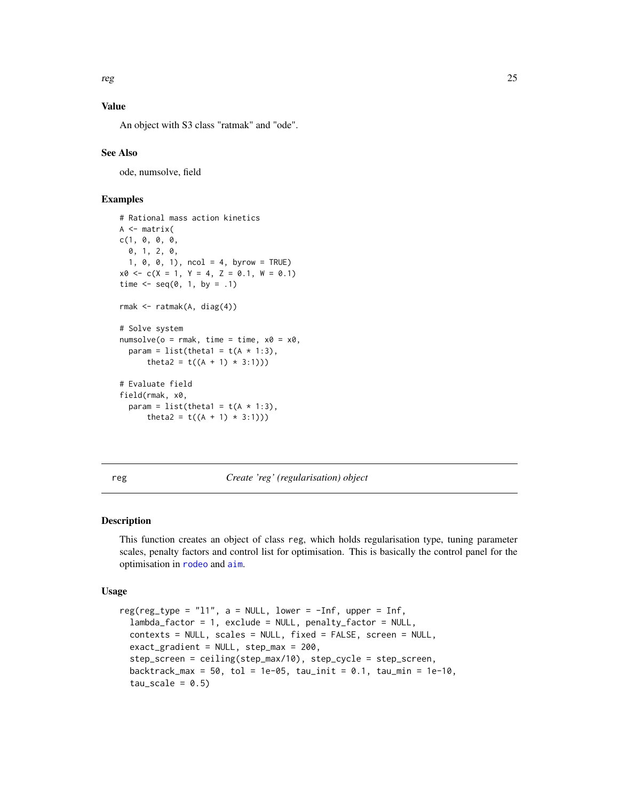<span id="page-24-0"></span>reg 25

# Value

An object with S3 class "ratmak" and "ode".

#### See Also

ode, numsolve, field

# Examples

```
# Rational mass action kinetics
A \leftarrow matrix(c(1, 0, 0, 0,
  0, 1, 2, 0,
  1, 0, 0, 1), ncol = 4, byrow = TRUE)
x0 \leq -c(X = 1, Y = 4, Z = 0.1, W = 0.1)time \leq - seq(0, 1, by = .1)
rmak <- ratmak(A, diag(4))
# Solve system
numsolve(o = rmak, time = time, x0 = x0,param = list(theta1 = t(A * 1:3),
      theta2 = t((A + 1) * 3:1)))# Evaluate field
field(rmak, x0,
  param = list(theta1 = t(A * 1:3),
      theta2 = t((A + 1) * 3:1))
```
<span id="page-24-1"></span>reg *Create 'reg' (regularisation) object*

#### Description

This function creates an object of class reg, which holds regularisation type, tuning parameter scales, penalty factors and control list for optimisation. This is basically the control panel for the optimisation in [rodeo](#page-29-1) and [aim](#page-1-1).

#### Usage

```
reg(reg_type = "11", a = NULL, lower = -Inf, upper = Inf,
 lambda_factor = 1, exclude = NULL, penalty_factor = NULL,
  contexts = NULL, scales = NULL, fixed = FALSE, screen = NULL,
  exact_gradient = NULL, step_max = 200,
  step_screen = ceiling(step_max/10), step_cycle = step_screen,
 backtrack_max = 50, tol = 1e-05, tau_init = 0.1, tau_min = 1e-10,
  tau\_scale = 0.5)
```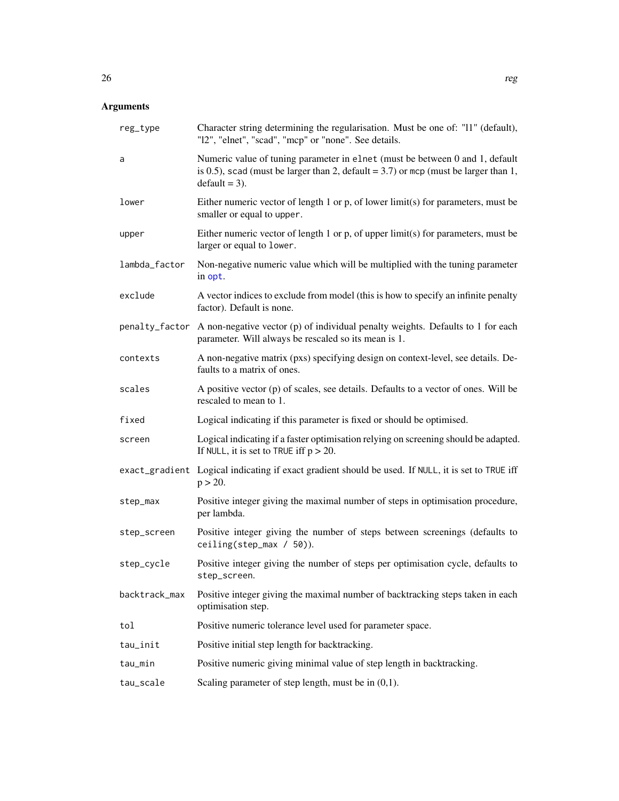# <span id="page-25-0"></span>Arguments

| reg_type       | Character string determining the regularisation. Must be one of: "11" (default),<br>"12", "elnet", "scad", "mcp" or "none". See details.                                                  |
|----------------|-------------------------------------------------------------------------------------------------------------------------------------------------------------------------------------------|
| a              | Numeric value of tuning parameter in elnet (must be between 0 and 1, default<br>is 0.5), scad (must be larger than 2, default = $3.7$ ) or mcp (must be larger than 1,<br>$default = 3$ . |
| lower          | Either numeric vector of length 1 or $p$ , of lower limit(s) for parameters, must be<br>smaller or equal to upper.                                                                        |
| upper          | Either numeric vector of length 1 or $p$ , of upper limit(s) for parameters, must be<br>larger or equal to lower.                                                                         |
| lambda_factor  | Non-negative numeric value which will be multiplied with the tuning parameter<br>in opt.                                                                                                  |
| exclude        | A vector indices to exclude from model (this is how to specify an infinite penalty<br>factor). Default is none.                                                                           |
| penalty_factor | A non-negative vector (p) of individual penalty weights. Defaults to 1 for each<br>parameter. Will always be rescaled so its mean is 1.                                                   |
| contexts       | A non-negative matrix (pxs) specifying design on context-level, see details. De-<br>faults to a matrix of ones.                                                                           |
| scales         | A positive vector (p) of scales, see details. Defaults to a vector of ones. Will be<br>rescaled to mean to 1.                                                                             |
| fixed          | Logical indicating if this parameter is fixed or should be optimised.                                                                                                                     |
| screen         | Logical indicating if a faster optimisation relying on screening should be adapted.<br>If NULL, it is set to TRUE iff $p > 20$ .                                                          |
|                | exact_gradient Logical indicating if exact gradient should be used. If NULL, it is set to TRUE iff<br>$p > 20$ .                                                                          |
| step_max       | Positive integer giving the maximal number of steps in optimisation procedure,<br>per lambda.                                                                                             |
| step_screen    | Positive integer giving the number of steps between screenings (defaults to<br>ceiling(step_max / 50)).                                                                                   |
| step_cycle     | Positive integer giving the number of steps per optimisation cycle, defaults to<br>step_screen.                                                                                           |
| backtrack_max  | Positive integer giving the maximal number of backtracking steps taken in each<br>optimisation step.                                                                                      |
| tol            | Positive numeric tolerance level used for parameter space.                                                                                                                                |
| tau_init       | Positive initial step length for backtracking.                                                                                                                                            |
| tau_min        | Positive numeric giving minimal value of step length in backtracking.                                                                                                                     |
| tau_scale      | Scaling parameter of step length, must be in $(0,1)$ .                                                                                                                                    |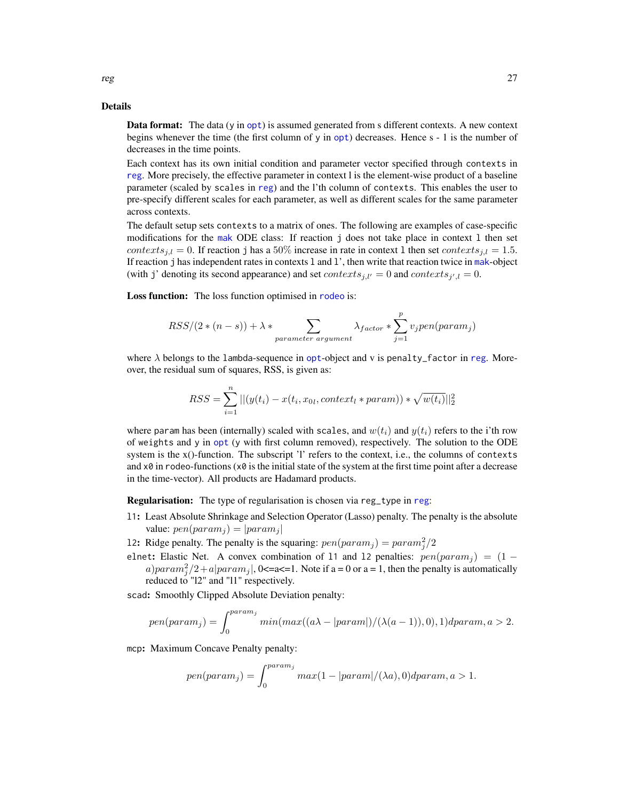<span id="page-26-0"></span>**Data format:** The data (y in [opt](#page-15-1)) is assumed generated from s different contexts. A new context begins whenever the time (the first column of y in [opt](#page-15-1)) decreases. Hence s - 1 is the number of decreases in the time points.

Each context has its own initial condition and parameter vector specified through contexts in [reg](#page-24-1). More precisely, the effective parameter in context l is the element-wise product of a baseline parameter (scaled by scales in [reg](#page-24-1)) and the l'th column of contexts. This enables the user to pre-specify different scales for each parameter, as well as different scales for the same parameter across contexts.

The default setup sets contexts to a matrix of ones. The following are examples of case-specific modifications for the [mak](#page-9-1) ODE class: If reaction j does not take place in context l then set contexts<sub>j,l</sub> = 0. If reaction j has a 50% increase in rate in context 1 then set contexts<sub>j,l</sub> = 1.5. If reaction j has independent rates in contexts l and l', then write that reaction twice in [mak](#page-9-1)-object (with j' denoting its second appearance) and set  $contexts_{j,l'} = 0$  and  $contexts_{j',l} = 0$ .

Loss function: The loss function optimised in [rodeo](#page-29-1) is:

$$
RSS/(2*(n-s)) + \lambda * \sum_{parameter\ argument} \lambda_{factor} * \sum_{j=1}^{p} v_j pen(param_j)
$$

where  $\lambda$  belongs to the lambda-sequence in [opt](#page-15-1)-object and v is penalty\_factor in [reg](#page-24-1). Moreover, the residual sum of squares, RSS, is given as:

$$
RSS = \sum_{i=1}^{n} ||(y(t_i) - x(t_i, x_{0l}, context_l * param)) * \sqrt{w(t_i)}||_2^2
$$

where param has been (internally) scaled with scales, and  $w(t_i)$  and  $y(t_i)$  refers to the i'th row of weights and y in [opt](#page-15-1) (y with first column removed), respectively. The solution to the ODE system is the x()-function. The subscript 'l' refers to the context, i.e., the columns of contexts and  $x\theta$  in rodeo-functions ( $x\theta$  is the initial state of the system at the first time point after a decrease in the time-vector). All products are Hadamard products.

Regularisation: The type of regularisation is chosen via reg\_type in [reg](#page-24-1):

l1: Least Absolute Shrinkage and Selection Operator (Lasso) penalty. The penalty is the absolute value:  $pen(param_j) = |param_j|$ 

12: Ridge penalty. The penalty is the squaring:  $pen(param_j) = param_j^2/2$ 

elnet: Elastic Net. A convex combination of 11 and 12 penalties:  $pen(pxam_i) = (1$ a)para $m_j^2/2 + a|param_j|$ , 0<=a<=1. Note if a = 0 or a = 1, then the penalty is automatically reduced to "l2" and "l1" respectively.

scad: Smoothly Clipped Absolute Deviation penalty:

$$
pen(paramj) = \int_0^{param_j} min(max((a\lambda - |param|)/(\lambda(a-1)), 0), 1)dparam, a > 2.
$$

mcp: Maximum Concave Penalty penalty:

$$
pen(paramj) = \int_0^{param_j} max(1 - |param|/(\lambda a), 0) dparam, a > 1.
$$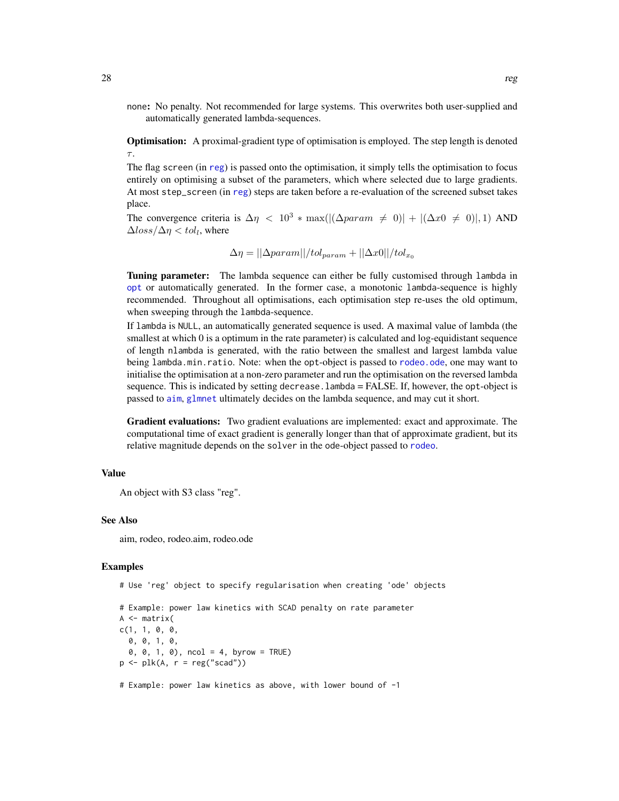<span id="page-27-0"></span>none: No penalty. Not recommended for large systems. This overwrites both user-supplied and automatically generated lambda-sequences.

Optimisation: A proximal-gradient type of optimisation is employed. The step length is denoted  $\tau$ .

The flag screen (in [reg](#page-24-1)) is passed onto the optimisation, it simply tells the optimisation to focus entirely on optimising a subset of the parameters, which where selected due to large gradients. At most step\_screen (in [reg](#page-24-1)) steps are taken before a re-evaluation of the screened subset takes place.

The convergence criteria is  $\Delta \eta \leq 10^3 * \max(|(\Delta param \neq 0)| + |(\Delta x 0 \neq 0)|, 1)$  AND  $\Delta loss/\Delta \eta < tol_l$ , where

$$
\Delta \eta = ||\Delta param||/tol_{param} + ||\Delta x0||/tol_{x_0}
$$

**Tuning parameter:** The lambda sequence can either be fully customised through lambda in [opt](#page-15-1) or automatically generated. In the former case, a monotonic lambda-sequence is highly recommended. Throughout all optimisations, each optimisation step re-uses the old optimum, when sweeping through the lambda-sequence.

If lambda is NULL, an automatically generated sequence is used. A maximal value of lambda (the smallest at which 0 is a optimum in the rate parameter) is calculated and log-equidistant sequence of length nlambda is generated, with the ratio between the smallest and largest lambda value being lambda.min.ratio. Note: when the opt-object is passed to [rodeo.ode](#page-34-1), one may want to initialise the optimisation at a non-zero parameter and run the optimisation on the reversed lambda sequence. This is indicated by setting decrease.lambda = FALSE. If, however, the opt-object is passed to [aim](#page-1-1), [glmnet](#page-0-0) ultimately decides on the lambda sequence, and may cut it short.

Gradient evaluations: Two gradient evaluations are implemented: exact and approximate. The computational time of exact gradient is generally longer than that of approximate gradient, but its relative magnitude depends on the solver in the ode-object passed to [rodeo](#page-29-1).

# Value

An object with S3 class "reg".

#### See Also

aim, rodeo, rodeo.aim, rodeo.ode

#### Examples

# Use 'reg' object to specify regularisation when creating 'ode' objects

```
# Example: power law kinetics with SCAD penalty on rate parameter
A \leftarrow matrix(c(1, 1, 0, 0,0, 0, 1, 0,
 0, 0, 1, 0), ncol = 4, byrow = TRUE)
p \leftarrow plk(A, r = reg("scal"))# Example: power law kinetics as above, with lower bound of -1
```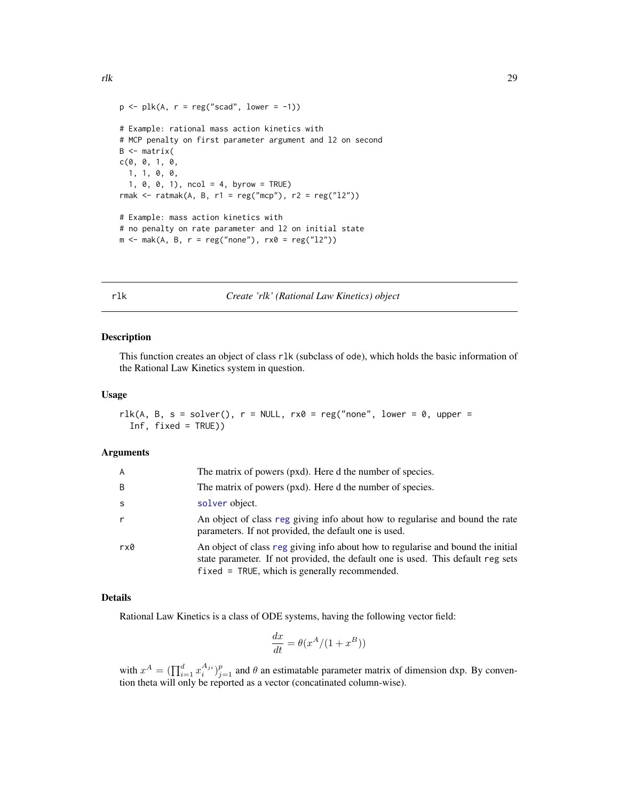<span id="page-28-0"></span>rlk 29

```
p \leftarrow plk(A, r = reg("scad", lower = -1))# Example: rational mass action kinetics with
# MCP penalty on first parameter argument and l2 on second
B \leq - matrix(
c(0, 0, 1, 0,
 1, 1, 0, 0,
  1, 0, 0, 1), ncol = 4, byrow = TRUE)
rmak <- ratmak(A, B, r1 = reg("mcp"), r2 = reg("12"))
# Example: mass action kinetics with
# no penalty on rate parameter and l2 on initial state
m \le -mak(A, B, r = reg("none"), rx0 = reg("12"))
```
#### <span id="page-28-1"></span>rlk *Create 'rlk' (Rational Law Kinetics) object*

#### Description

This function creates an object of class rlk (subclass of ode), which holds the basic information of the Rational Law Kinetics system in question.

#### Usage

```
rlk(A, B, s = solver(), r = NULL, rx0 = reg("none", lower = 0, upper =
  Inf, fixed = TRUE))
```
#### Arguments

| A   | The matrix of powers (pxd). Here d the number of species.                                                                                                                                                                |
|-----|--------------------------------------------------------------------------------------------------------------------------------------------------------------------------------------------------------------------------|
| B   | The matrix of powers (pxd). Here d the number of species.                                                                                                                                                                |
| S.  | solver object.                                                                                                                                                                                                           |
|     | An object of class reg giving info about how to regularise and bound the rate<br>parameters. If not provided, the default one is used.                                                                                   |
| rx0 | An object of class reg giving info about how to regularise and bound the initial<br>state parameter. If not provided, the default one is used. This default reg sets<br>$fixed = TRUE$ , which is generally recommended. |

#### Details

Rational Law Kinetics is a class of ODE systems, having the following vector field:

$$
\frac{dx}{dt} = \theta(x^A/(1+x^B))
$$

with  $x^A = (\prod_{i=1}^d x_i^{A_{ji}})_{j=1}^p$  and  $\theta$  an estimatable parameter matrix of dimension dxp. By convention theta will only be reported as a vector (concatinated column-wise).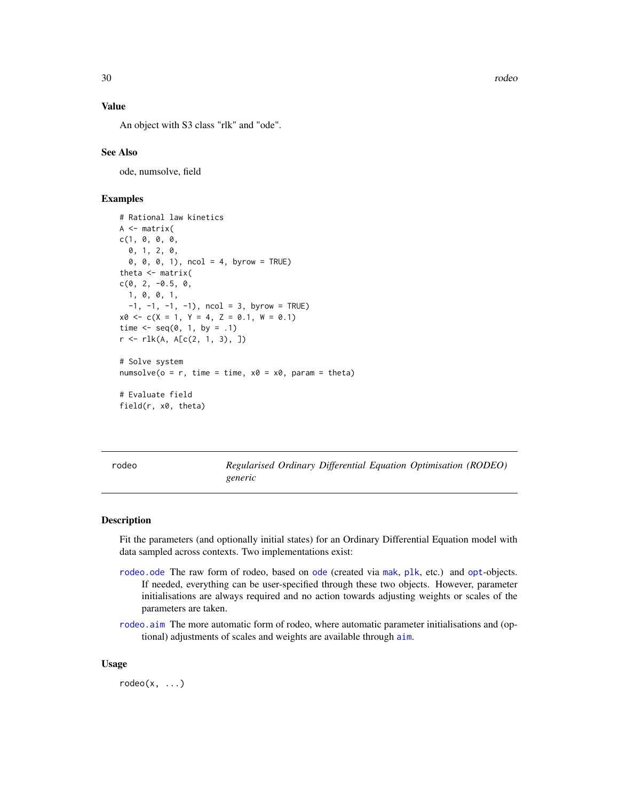<span id="page-29-0"></span>30 rodeo

# Value

An object with S3 class "rlk" and "ode".

#### See Also

ode, numsolve, field

# Examples

```
# Rational law kinetics
A <- matrix(
c(1, 0, 0, 0,
 0, 1, 2, 0,
 0, 0, 0, 1), ncol = 4, byrow = TRUE)
theta \leq matrix(
c(0, 2, -0.5, 0,1, 0, 0, 1,
 -1, -1, -1, -1), ncol = 3, byrow = TRUE)
x0 \leq -c(X = 1, Y = 4, Z = 0.1, W = 0.1)time \leq - seq(0, 1, by = .1)
r <- rlk(A, A[c(2, 1, 3), ])
# Solve system
numsolve(o = r, time = time, x0 = x0, param = theta)
# Evaluate field
field(r, x0, theta)
```
<span id="page-29-1"></span>rodeo *Regularised Ordinary Differential Equation Optimisation (RODEO) generic*

#### Description

Fit the parameters (and optionally initial states) for an Ordinary Differential Equation model with data sampled across contexts. Two implementations exist:

- [rodeo.ode](#page-34-1) The raw form of rodeo, based on [ode](#page-14-1) (created via [mak](#page-9-1), [plk](#page-17-1), etc.) and [opt](#page-15-1)-objects. If needed, everything can be user-specified through these two objects. However, parameter initialisations are always required and no action towards adjusting weights or scales of the parameters are taken.
- [rodeo.aim](#page-31-1) The more automatic form of rodeo, where automatic parameter initialisations and (optional) adjustments of scales and weights are available through [aim](#page-1-1).

#### Usage

 $rodeo(x, \ldots)$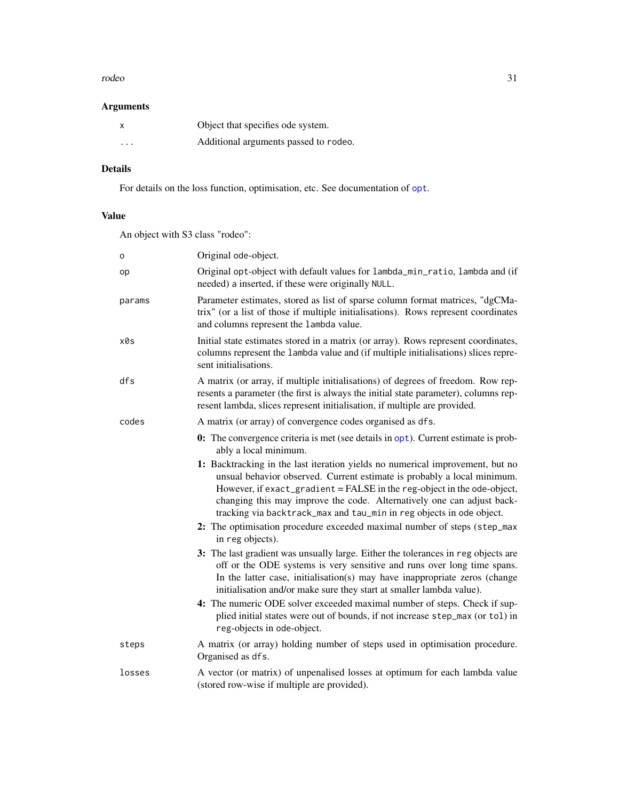#### <span id="page-30-0"></span>rodeo 31

# Arguments

| x        | Object that specifies ode system.     |
|----------|---------------------------------------|
| $\cdots$ | Additional arguments passed to rodeo. |

# Details

For details on the loss function, optimisation, etc. See documentation of [opt](#page-15-1).

# Value

An object with S3 class "rodeo":

| o      | Original ode-object.                                                                                                                                                                                                                                                                                                                                                                  |
|--------|---------------------------------------------------------------------------------------------------------------------------------------------------------------------------------------------------------------------------------------------------------------------------------------------------------------------------------------------------------------------------------------|
| op     | Original opt-object with default values for lambda_min_ratio, lambda and (if<br>needed) a inserted, if these were originally NULL.                                                                                                                                                                                                                                                    |
| params | Parameter estimates, stored as list of sparse column format matrices, "dgCMa-<br>trix" (or a list of those if multiple initialisations). Rows represent coordinates<br>and columns represent the lambda value.                                                                                                                                                                        |
| x0s    | Initial state estimates stored in a matrix (or array). Rows represent coordinates,<br>columns represent the lambda value and (if multiple initialisations) slices repre-<br>sent initialisations.                                                                                                                                                                                     |
| dfs    | A matrix (or array, if multiple initialisations) of degrees of freedom. Row rep-<br>resents a parameter (the first is always the initial state parameter), columns rep-<br>resent lambda, slices represent initialisation, if multiple are provided.                                                                                                                                  |
| codes  | A matrix (or array) of convergence codes organised as dfs.                                                                                                                                                                                                                                                                                                                            |
|        | <b>0:</b> The convergence criteria is met (see details in opt). Current estimate is prob-<br>ably a local minimum.                                                                                                                                                                                                                                                                    |
|        | 1: Backtracking in the last iteration yields no numerical improvement, but no<br>unsual behavior observed. Current estimate is probably a local minimum.<br>However, if exact_gradient = FALSE in the reg-object in the ode-object,<br>changing this may improve the code. Alternatively one can adjust back-<br>tracking via backtrack_max and tau_min in reg objects in ode object. |
|        | 2: The optimisation procedure exceeded maximal number of steps (step_max<br>in reg objects).                                                                                                                                                                                                                                                                                          |
|        | 3: The last gradient was unsually large. Either the tolerances in reg objects are<br>off or the ODE systems is very sensitive and runs over long time spans.<br>In the latter case, initialisation(s) may have inappropriate zeros (change<br>initialisation and/or make sure they start at smaller lambda value).                                                                    |
|        | 4: The numeric ODE solver exceeded maximal number of steps. Check if sup-<br>plied initial states were out of bounds, if not increase step_max (or tol) in<br>reg-objects in ode-object.                                                                                                                                                                                              |
| steps  | A matrix (or array) holding number of steps used in optimisation procedure.<br>Organised as dfs.                                                                                                                                                                                                                                                                                      |
| losses | A vector (or matrix) of unpenalised losses at optimum for each lambda value<br>(stored row-wise if multiple are provided).                                                                                                                                                                                                                                                            |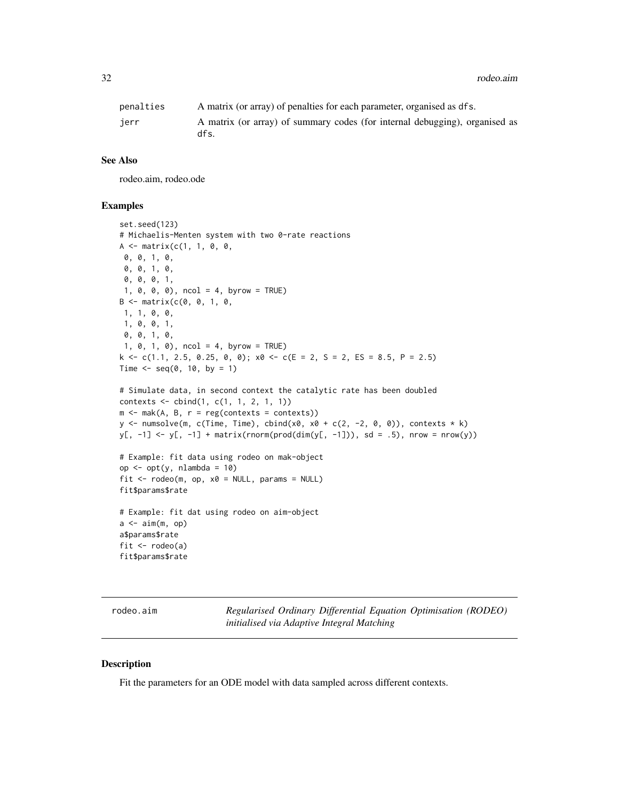<span id="page-31-0"></span>32 rodeo.aim

| penalties | A matrix (or array) of penalties for each parameter, organised as dfs.              |
|-----------|-------------------------------------------------------------------------------------|
| ierr      | A matrix (or array) of summary codes (for internal debugging), organised as<br>dfs. |

## See Also

rodeo.aim, rodeo.ode

# Examples

```
set.seed(123)
# Michaelis-Menten system with two 0-rate reactions
A \leq matrix(c(1, 1, 0, 0,
0, 0, 1, 0,
 0, 0, 1, 0,
 0, 0, 0, 1,
 1, 0, 0, 0), ncol = 4, byrow = TRUE)
B \le - matrix(c(0, 0, 1, 0, 1)1, 1, 0, 0,
 1, 0, 0, 1,
 0, 0, 1, 0,
 1, 0, 1, 0), ncol = 4, byrow = TRUE)
k \leq c(1.1, 2.5, 0.25, 0, 0); x0 \leq c(E = 2, S = 2, ES = 8.5, P = 2.5)Time \leq - seq(0, 10, by = 1)
# Simulate data, in second context the catalytic rate has been doubled
contexts <- cbind(1, c(1, 1, 2, 1, 1))
m \le -mak(A, B, r = reg(contexts = context))y \le numsolve(m, c(Time, Time), cbind(x0, x0 + c(2, -2, 0, 0)), contexts * k)
y[, -1] <- y[, -1] + matrix(rnorm(prod(dim(y[, -1])), sd = .5), nrow = nrow(y))
# Example: fit data using rodeo on mak-object
op <- opt(y, nlambda = 10)
fit \leq rodeo(m, op, x0 = NULL, params = NULL)
fit$params$rate
# Example: fit dat using rodeo on aim-object
a \leftarrow \text{aim}(m, op)a$params$rate
fit \leq rodeo(a)
fit$params$rate
```
<span id="page-31-1"></span>rodeo.aim *Regularised Ordinary Differential Equation Optimisation (RODEO) initialised via Adaptive Integral Matching*

#### Description

Fit the parameters for an ODE model with data sampled across different contexts.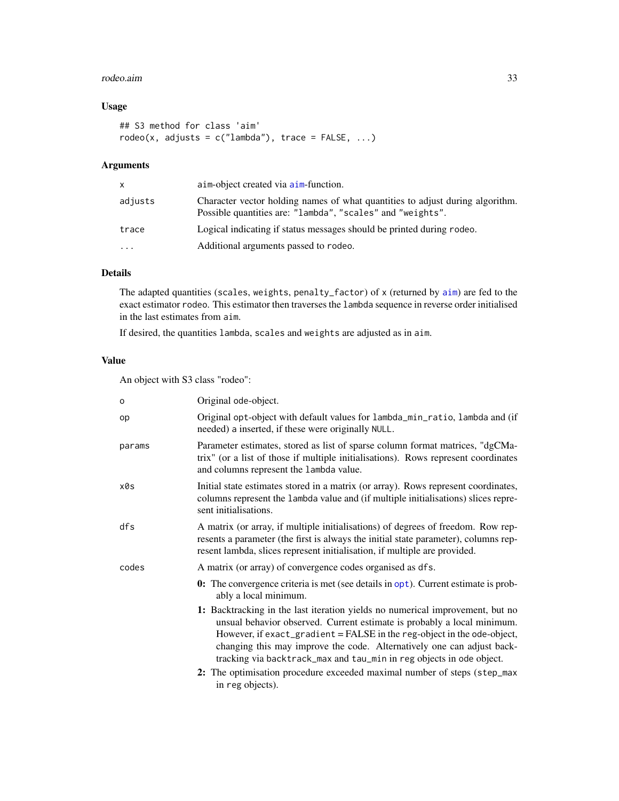#### <span id="page-32-0"></span>rodeo.aim 33

# Usage

```
## S3 method for class 'aim'
rodeo(x, adjusts = c("lambda"), trace = FALSE, ...)
```
#### Arguments

| x.      | aim-object created via aim-function.                                                                                                        |
|---------|---------------------------------------------------------------------------------------------------------------------------------------------|
| adjusts | Character vector holding names of what quantities to adjust during algorithm.<br>Possible quantities are: "lambda", "scales" and "weights". |
| trace   | Logical indicating if status messages should be printed during rodeo.                                                                       |
| .       | Additional arguments passed to rodeo.                                                                                                       |
|         |                                                                                                                                             |

# Details

The adapted quantities (scales, weights, penalty\_factor) of x (returned by  $a$ im) are fed to the exact estimator rodeo. This estimator then traverses the lambda sequence in reverse order initialised in the last estimates from aim.

If desired, the quantities lambda, scales and weights are adjusted as in aim.

# Value

An object with S3 class "rodeo":

| $\circ$ | Original ode-object.                                                                                                                                                                                                                                                                                                                                                                  |
|---------|---------------------------------------------------------------------------------------------------------------------------------------------------------------------------------------------------------------------------------------------------------------------------------------------------------------------------------------------------------------------------------------|
| op      | Original opt-object with default values for lambda_min_ratio, lambda and (if<br>needed) a inserted, if these were originally NULL.                                                                                                                                                                                                                                                    |
| params  | Parameter estimates, stored as list of sparse column format matrices, "dgCMa-<br>trix" (or a list of those if multiple initialisations). Rows represent coordinates<br>and columns represent the lambda value.                                                                                                                                                                        |
| x0s     | Initial state estimates stored in a matrix (or array). Rows represent coordinates,<br>columns represent the lambda value and (if multiple initialisations) slices repre-<br>sent initialisations.                                                                                                                                                                                     |
| dfs     | A matrix (or array, if multiple initialisations) of degrees of freedom. Row rep-<br>resents a parameter (the first is always the initial state parameter), columns rep-<br>resent lambda, slices represent initialisation, if multiple are provided.                                                                                                                                  |
| codes   | A matrix (or array) of convergence codes organised as dfs.                                                                                                                                                                                                                                                                                                                            |
|         | <b>0:</b> The convergence criteria is met (see details in opt). Current estimate is prob-<br>ably a local minimum.                                                                                                                                                                                                                                                                    |
|         | 1: Backtracking in the last iteration yields no numerical improvement, but no<br>unsual behavior observed. Current estimate is probably a local minimum.<br>However, if exact_gradient = FALSE in the reg-object in the ode-object,<br>changing this may improve the code. Alternatively one can adjust back-<br>tracking via backtrack_max and tau_min in reg objects in ode object. |
|         | 2: The optimisation procedure exceeded maximal number of steps (step_max<br>in reg objects).                                                                                                                                                                                                                                                                                          |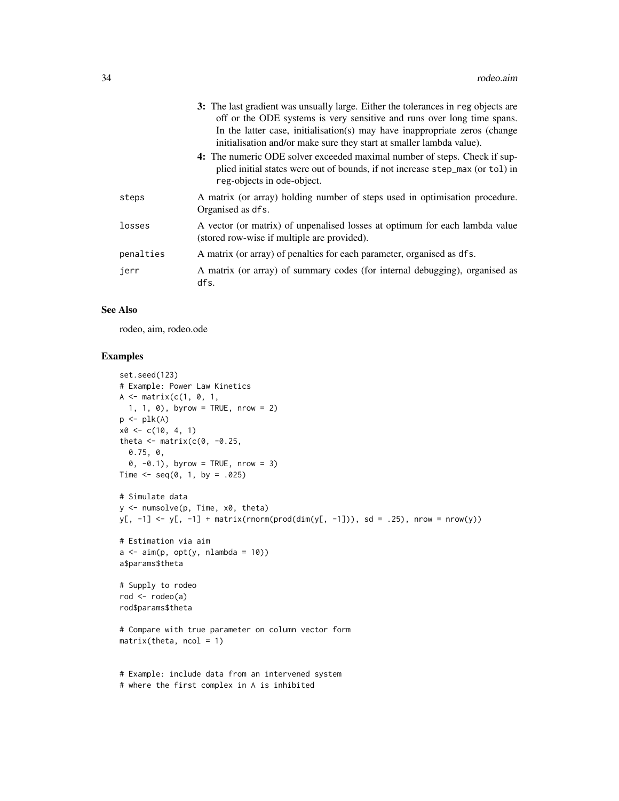|           | 3: The last gradient was unsually large. Either the tolerances in reg objects are<br>off or the ODE systems is very sensitive and runs over long time spans.<br>In the latter case, initialisation(s) may have inappropriate zeros (change<br>initialisation and/or make sure they start at smaller lambda value). |
|-----------|--------------------------------------------------------------------------------------------------------------------------------------------------------------------------------------------------------------------------------------------------------------------------------------------------------------------|
|           | 4: The numeric ODE solver exceeded maximal number of steps. Check if sup-<br>plied initial states were out of bounds, if not increase step_max (or tol) in<br>reg-objects in ode-object.                                                                                                                           |
| steps     | A matrix (or array) holding number of steps used in optimisation procedure.<br>Organised as dfs.                                                                                                                                                                                                                   |
| losses    | A vector (or matrix) of unpenalised losses at optimum for each lambda value<br>(stored row-wise if multiple are provided).                                                                                                                                                                                         |
| penalties | A matrix (or array) of penalties for each parameter, organised as dfs.                                                                                                                                                                                                                                             |
| jerr      | A matrix (or array) of summary codes (for internal debugging), organised as<br>dfs.                                                                                                                                                                                                                                |

#### See Also

rodeo, aim, rodeo.ode

```
set.seed(123)
# Example: Power Law Kinetics
A \leq - matrix(c(1, 0, 1,
 1, 1, 0), byrow = TRUE, nrow = 2)
p \leftarrow plk(A)x0 \leq c(10, 4, 1)theta \leq matrix(c(0, -0.25,
  0.75, 0,
  0, -0.1), byrow = TRUE, nrow = 3)
Time \leq - seq(0, 1, by = .025)
# Simulate data
y <- numsolve(p, Time, x0, theta)
y[, -1] <- y[, -1] + matrix(rnorm(prod(dim(y[, -1])), sd = .25), nrow = nrow(y))
# Estimation via aim
a \leq -\operatorname{aim}(p, opt(y, nlambda = 10))a$params$theta
# Supply to rodeo
rod <- rodeo(a)
rod$params$theta
# Compare with true parameter on column vector form
matrix(theta, ncol = 1)# Example: include data from an intervened system
# where the first complex in A is inhibited
```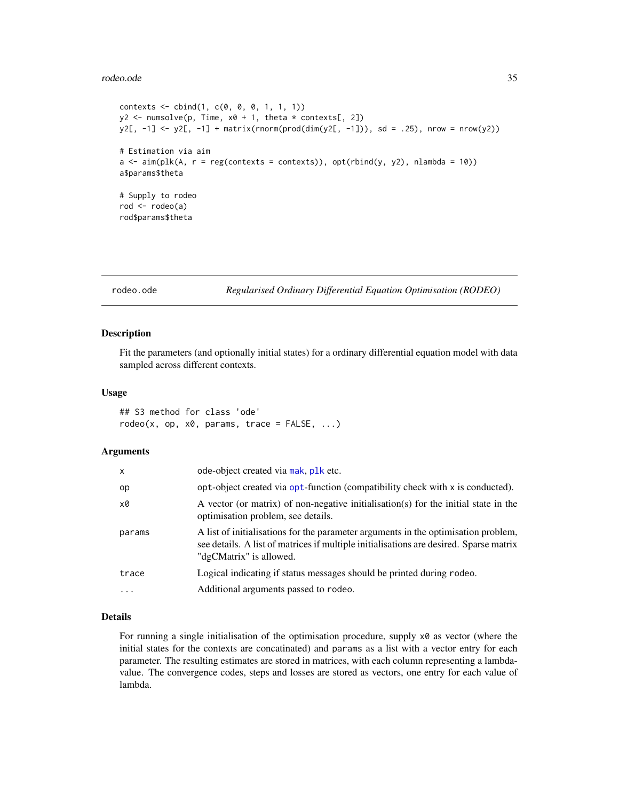#### <span id="page-34-0"></span>rodeo.ode 35

```
contexts < - child(1, c(0, 0, 0, 1, 1, 1))y2 \le numsolve(p, Time, x0 + 1, theta * contexts[, 2])
y2[, -1] <- y2[, -1] + matrix(rnorm(prod(dim(y2[, -1])), sd = .25), nrow = nrow(y2))
# Estimation via aim
a \leq a im(plk(A, r = reg(contexts = contexts)), opt(rbind(y, y2), nlambda = 10))
a$params$theta
# Supply to rodeo
rod <- rodeo(a)
rod$params$theta
```
<span id="page-34-1"></span>rodeo.ode *Regularised Ordinary Differential Equation Optimisation (RODEO)*

#### Description

Fit the parameters (and optionally initial states) for a ordinary differential equation model with data sampled across different contexts.

#### Usage

## S3 method for class 'ode'  $rodeo(x, op, x0, params, trace = FALSE, ...)$ 

#### Arguments

| x        | ode-object created via mak, plk etc.                                                                                                                                                                    |
|----------|---------------------------------------------------------------------------------------------------------------------------------------------------------------------------------------------------------|
| op       | opt-object created via opt-function (compatibility check with x is conducted).                                                                                                                          |
| x0       | A vector (or matrix) of non-negative initialisation(s) for the initial state in the<br>optimisation problem, see details.                                                                               |
| params   | A list of initialisations for the parameter arguments in the optimisation problem,<br>see details. A list of matrices if multiple initialisations are desired. Sparse matrix<br>"dgCMatrix" is allowed. |
| trace    | Logical indicating if status messages should be printed during rodeo.                                                                                                                                   |
| $\cdots$ | Additional arguments passed to rodeo.                                                                                                                                                                   |

# Details

For running a single initialisation of the optimisation procedure, supply  $\times\emptyset$  as vector (where the initial states for the contexts are concatinated) and params as a list with a vector entry for each parameter. The resulting estimates are stored in matrices, with each column representing a lambdavalue. The convergence codes, steps and losses are stored as vectors, one entry for each value of lambda.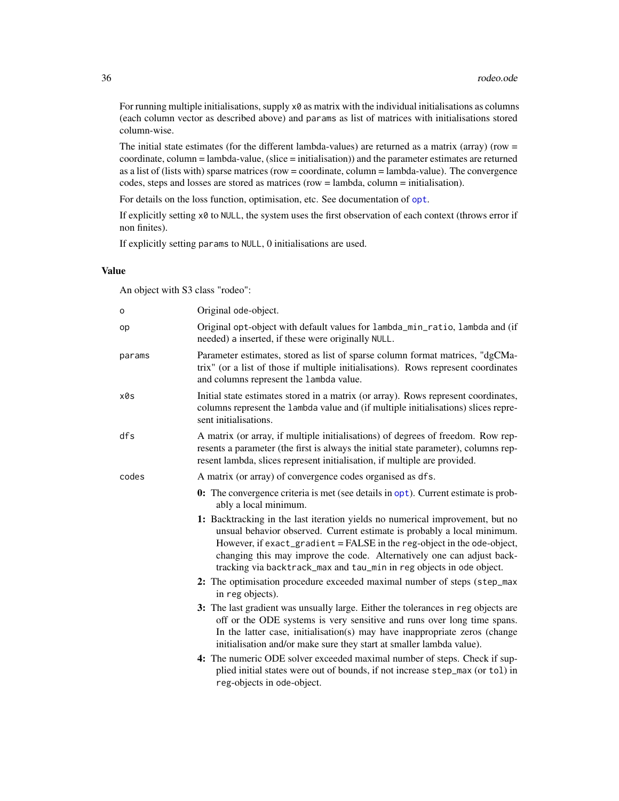<span id="page-35-0"></span>For running multiple initialisations, supply x0 as matrix with the individual initialisations as columns (each column vector as described above) and params as list of matrices with initialisations stored column-wise.

The initial state estimates (for the different lambda-values) are returned as a matrix (array) (row  $=$ coordinate, column = lambda-value, (slice = initialisation)) and the parameter estimates are returned as a list of (lists with) sparse matrices (row = coordinate, column = lambda-value). The convergence codes, steps and losses are stored as matrices (row = lambda, column = initialisation).

For details on the loss function, [opt](#page-15-1)imisation, etc. See documentation of opt.

If explicitly setting x0 to NULL, the system uses the first observation of each context (throws error if non finites).

If explicitly setting params to NULL, 0 initialisations are used.

#### Value

An object with S3 class "rodeo":

| $\mathsf{o}$ | Original ode-object.                                                                                                                                                                                                                                                                                                                                                                  |
|--------------|---------------------------------------------------------------------------------------------------------------------------------------------------------------------------------------------------------------------------------------------------------------------------------------------------------------------------------------------------------------------------------------|
| op           | Original opt-object with default values for lambda_min_ratio, lambda and (if<br>needed) a inserted, if these were originally NULL.                                                                                                                                                                                                                                                    |
| params       | Parameter estimates, stored as list of sparse column format matrices, "dgCMa-<br>trix" (or a list of those if multiple initialisations). Rows represent coordinates<br>and columns represent the lambda value.                                                                                                                                                                        |
| x0s          | Initial state estimates stored in a matrix (or array). Rows represent coordinates,<br>columns represent the lambda value and (if multiple initialisations) slices repre-<br>sent initialisations.                                                                                                                                                                                     |
| dfs          | A matrix (or array, if multiple initialisations) of degrees of freedom. Row rep-<br>resents a parameter (the first is always the initial state parameter), columns rep-<br>resent lambda, slices represent initialisation, if multiple are provided.                                                                                                                                  |
| codes        | A matrix (or array) of convergence codes organised as dfs.                                                                                                                                                                                                                                                                                                                            |
|              | <b>0:</b> The convergence criteria is met (see details in opt). Current estimate is prob-<br>ably a local minimum.                                                                                                                                                                                                                                                                    |
|              | 1: Backtracking in the last iteration yields no numerical improvement, but no<br>unsual behavior observed. Current estimate is probably a local minimum.<br>However, if exact_gradient = FALSE in the reg-object in the ode-object,<br>changing this may improve the code. Alternatively one can adjust back-<br>tracking via backtrack_max and tau_min in reg objects in ode object. |
|              | 2: The optimisation procedure exceeded maximal number of steps (step_max<br>in reg objects).                                                                                                                                                                                                                                                                                          |
|              | 3: The last gradient was unsually large. Either the tolerances in reg objects are<br>off or the ODE systems is very sensitive and runs over long time spans.<br>In the latter case, initialisation(s) may have inappropriate zeros (change<br>initialisation and/or make sure they start at smaller lambda value).                                                                    |
|              | 4: The numeric ODE solver exceeded maximal number of steps. Check if sup-<br>plied initial states were out of bounds, if not increase step_max (or tol) in<br>reg-objects in ode-object.                                                                                                                                                                                              |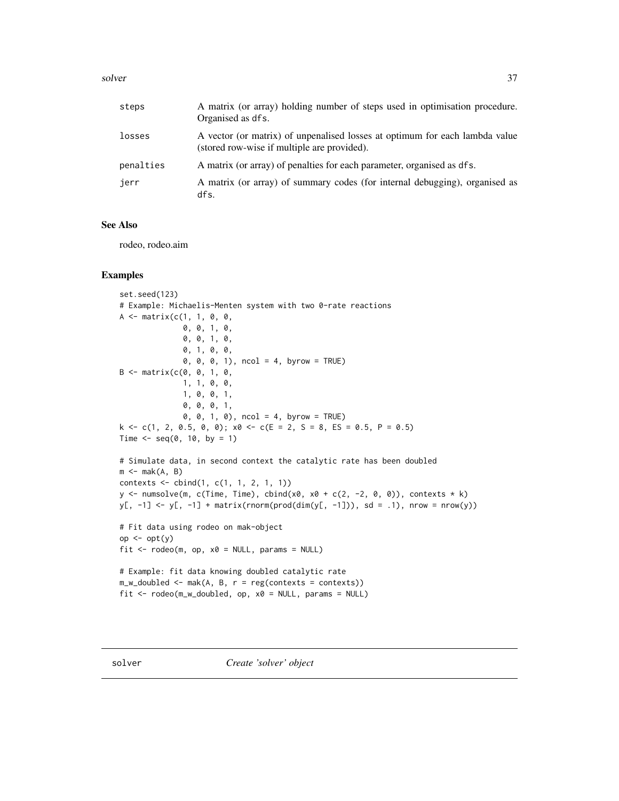#### <span id="page-36-0"></span>solver 37

| steps     | A matrix (or array) holding number of steps used in optimisation procedure.<br>Organised as dfs.                           |
|-----------|----------------------------------------------------------------------------------------------------------------------------|
| losses    | A vector (or matrix) of unpenalised losses at optimum for each lambda value<br>(stored row-wise if multiple are provided). |
| penalties | A matrix (or array) of penalties for each parameter, organised as dfs.                                                     |
| jerr      | A matrix (or array) of summary codes (for internal debugging), organised as<br>dfs.                                        |

# See Also

rodeo, rodeo.aim

```
set.seed(123)
# Example: Michaelis-Menten system with two 0-rate reactions
A \leq matrix(c(1, 1, 0, 0,
              0, 0, 1, 0,
              0, 0, 1, 0,
              0, 1, 0, 0,
              0, 0, 0, 1), ncol = 4, byrow = TRUE)
B \le - matrix(c(0, 0, 1, 0,
              1, 1, 0, 0,
              1, 0, 0, 1,
              0, 0, 0, 1,
              0, 0, 1, 0), ncol = 4, byrow = TRUE)
k \leq c(1, 2, 0.5, 0, 0); x0 \leq c(E = 2, S = 8, ES = 0.5, P = 0.5)Time \leq seq(0, 10, by = 1)
# Simulate data, in second context the catalytic rate has been doubled
m \leq -mak(A, B)contexts \le cbind(1, c(1, 1, 2, 1, 1))
y <- numsolve(m, c(Time, Time), cbind(x0, x0 + c(2, -2, 0, 0)), contexts * k)
y[, -1] <- y[, -1] + matrix(rnorm(prod(dim(y[, -1])), sd = .1), nrow = nrow(y))
# Fit data using rodeo on mak-object
op <- opt(y)
fit \leq rodeo(m, op, x0 = NULL, params = NULL)
# Example: fit data knowing doubled catalytic rate
m_w_doubled <- mak(A, B, r = reg(contexts = context))fit <- rodeo(m_w_doubled, op, x0 = NULL, params = NULL)
```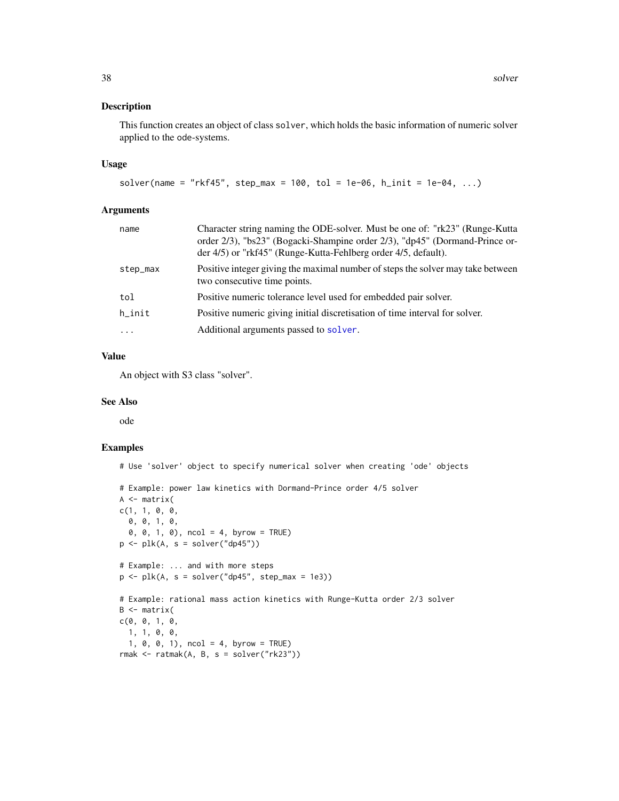# <span id="page-37-0"></span>Description

This function creates an object of class solver, which holds the basic information of numeric solver applied to the ode-systems.

#### Usage

```
solver(name = "rkf45", step_max = 100, tol = 1e-06, h_init = 1e-04, ...)
```
#### Arguments

| name      | Character string naming the ODE-solver. Must be one of: "rk23" (Runge-Kutta<br>order 2/3), "bs23" (Bogacki-Shampine order 2/3), "dp45" (Dormand-Prince or-<br>der 4/5) or "rkf45" (Runge-Kutta-Fehlberg order 4/5, default). |
|-----------|------------------------------------------------------------------------------------------------------------------------------------------------------------------------------------------------------------------------------|
| step_max  | Positive integer giving the maximal number of steps the solver may take between<br>two consecutive time points.                                                                                                              |
| tol       | Positive numeric tolerance level used for embedded pair solver.                                                                                                                                                              |
| $h$ _init | Positive numeric giving initial discretisation of time interval for solver.                                                                                                                                                  |
| $\cdots$  | Additional arguments passed to solver.                                                                                                                                                                                       |

# Value

An object with S3 class "solver".

#### See Also

ode

```
# Use 'solver' object to specify numerical solver when creating 'ode' objects
# Example: power law kinetics with Dormand-Prince order 4/5 solver
A \leftarrow matrix(c(1, 1, 0, 0,
  0, 0, 1, 0,
  0, 0, 1, 0), ncol = 4, byrow = TRUE)
p \leftarrow plk(A, s = solver("dp45"))# Example: ... and with more steps
p \leftarrow plk(A, s = solver("dp45", step_max = 1e3))# Example: rational mass action kinetics with Runge-Kutta order 2/3 solver
B \leq - matrix(
c(0, 0, 1, 0,
 1, 1, 0, 0,
  1, 0, 0, 1), ncol = 4, byrow = TRUE)
rmak <- ratmak(A, B, s = solver("rk23"))
```